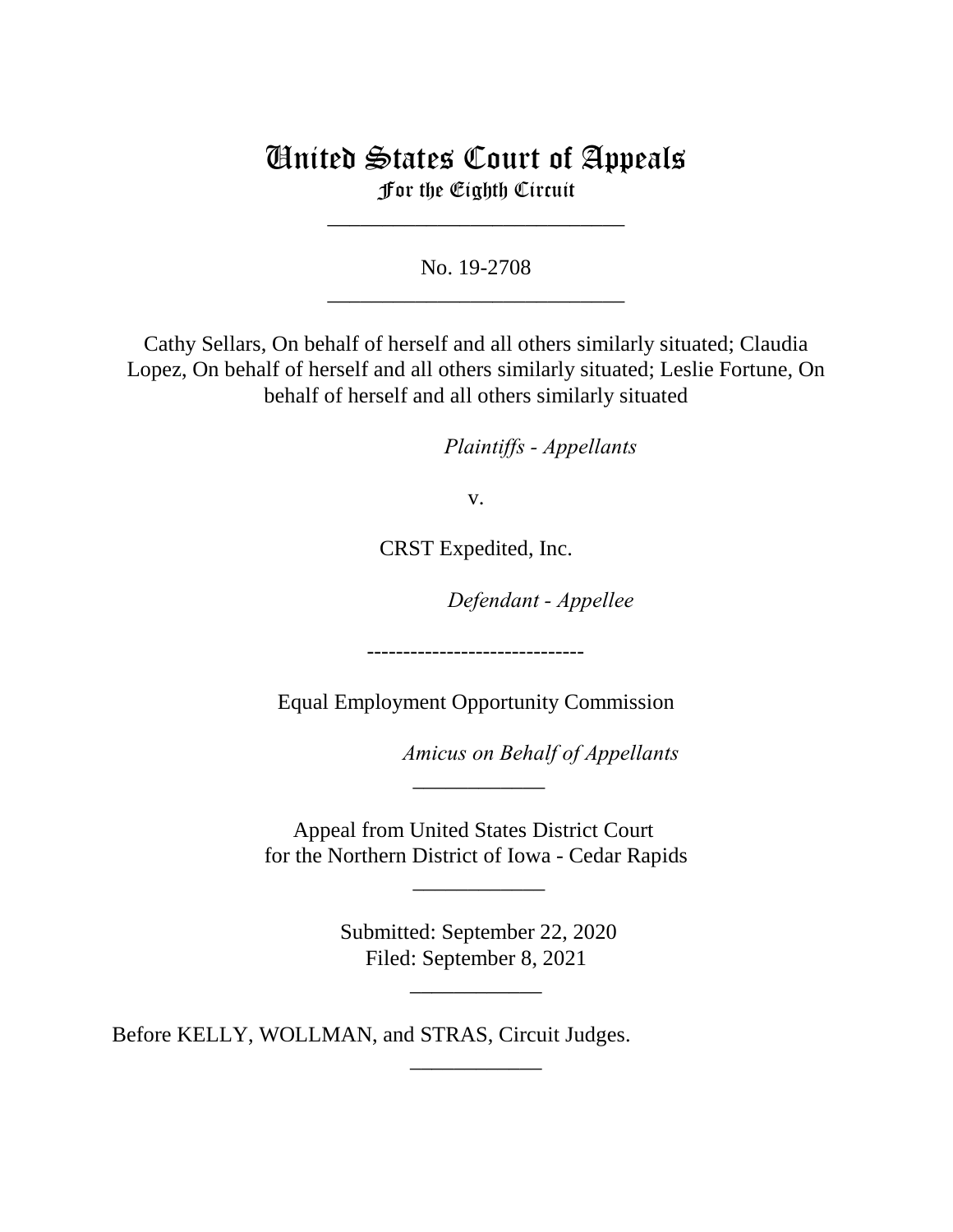# United States Court of Appeals For the Eighth Circuit

\_\_\_\_\_\_\_\_\_\_\_\_\_\_\_\_\_\_\_\_\_\_\_\_\_\_\_

No. 19-2708 \_\_\_\_\_\_\_\_\_\_\_\_\_\_\_\_\_\_\_\_\_\_\_\_\_\_\_

Cathy Sellars, On behalf of herself and all others similarly situated; Claudia Lopez, On behalf of herself and all others similarly situated; Leslie Fortune, On behalf of herself and all others similarly situated

*Plaintiffs - Appellants* 

v.

CRST Expedited, Inc.

Defendant - Appellee

Equal Employment Opportunity Commission

------------------------------

Amicus on Behalf of Appellants

Appeal from United States District Court for the Northern District of Iowa - Cedar Rapids

\_\_\_\_\_\_\_\_\_\_\_\_

\_\_\_\_\_\_\_\_\_\_\_\_

 Submitted: September 22, 2020 Filed: September 8, 2021

\_\_\_\_\_\_\_\_\_\_\_\_

\_\_\_\_\_\_\_\_\_\_\_\_

Before KELLY, WOLLMAN, and STRAS, Circuit Judges.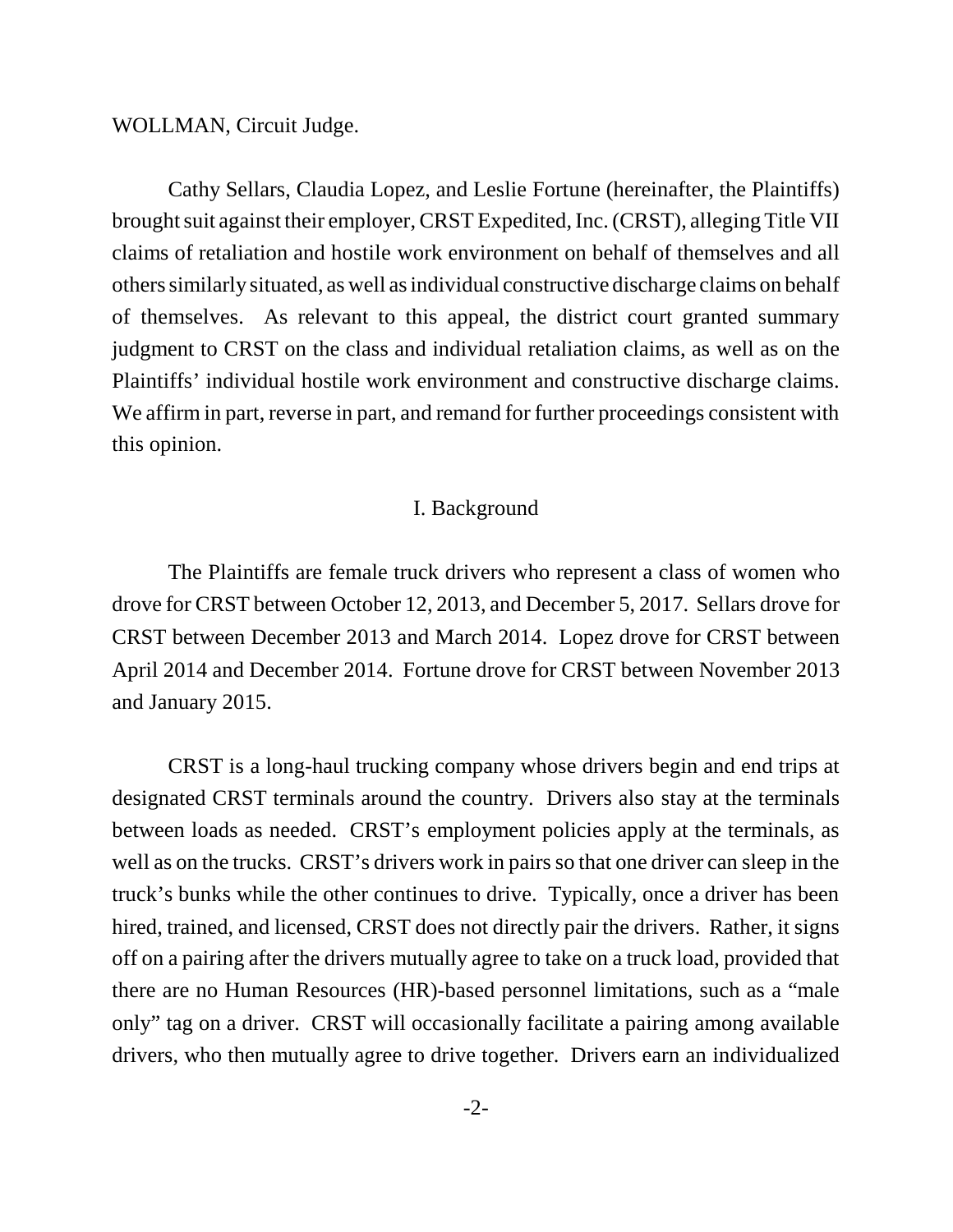WOLLMAN, Circuit Judge.

Cathy Sellars, Claudia Lopez, and Leslie Fortune (hereinafter, the Plaintiffs) brought suit against their employer, CRST Expedited, Inc. (CRST), alleging Title VII claims of retaliation and hostile work environment on behalf of themselves and all others similarly situated, as well as individual constructive discharge claims on behalf of themselves. As relevant to this appeal, the district court granted summary judgment to CRST on the class and individual retaliation claims, as well as on the Plaintiffs' individual hostile work environment and constructive discharge claims. We affirm in part, reverse in part, and remand for further proceedings consistent with this opinion.

### I. Background

The Plaintiffs are female truck drivers who represent a class of women who drove for CRST between October 12, 2013, and December 5, 2017. Sellars drove for CRST between December 2013 and March 2014.Lopez drove for CRST between April 2014 and December 2014.Fortune drove for CRST between November 2013 and January 2015.

CRST is a long-haul trucking company whose drivers begin and end trips at designated CRST terminals around the country. Drivers also stay at the terminals between loads as needed. CRST's employment policies apply at the terminals, as well as on the trucks. CRST's drivers work in pairs so that one driver can sleep in the truck's bunks while the other continues to drive.Typically, once a driver has been hired, trained, and licensed, CRST does not directly pair the drivers. Rather, it signs off on a pairing after the drivers mutually agree to take on a truck load, provided that there are no Human Resources (HR)-based personnel limitations, such as a "male only" tag on a driver.CRST will occasionally facilitate a pairing among available drivers, who then mutually agree to drive together. Drivers earn an individualized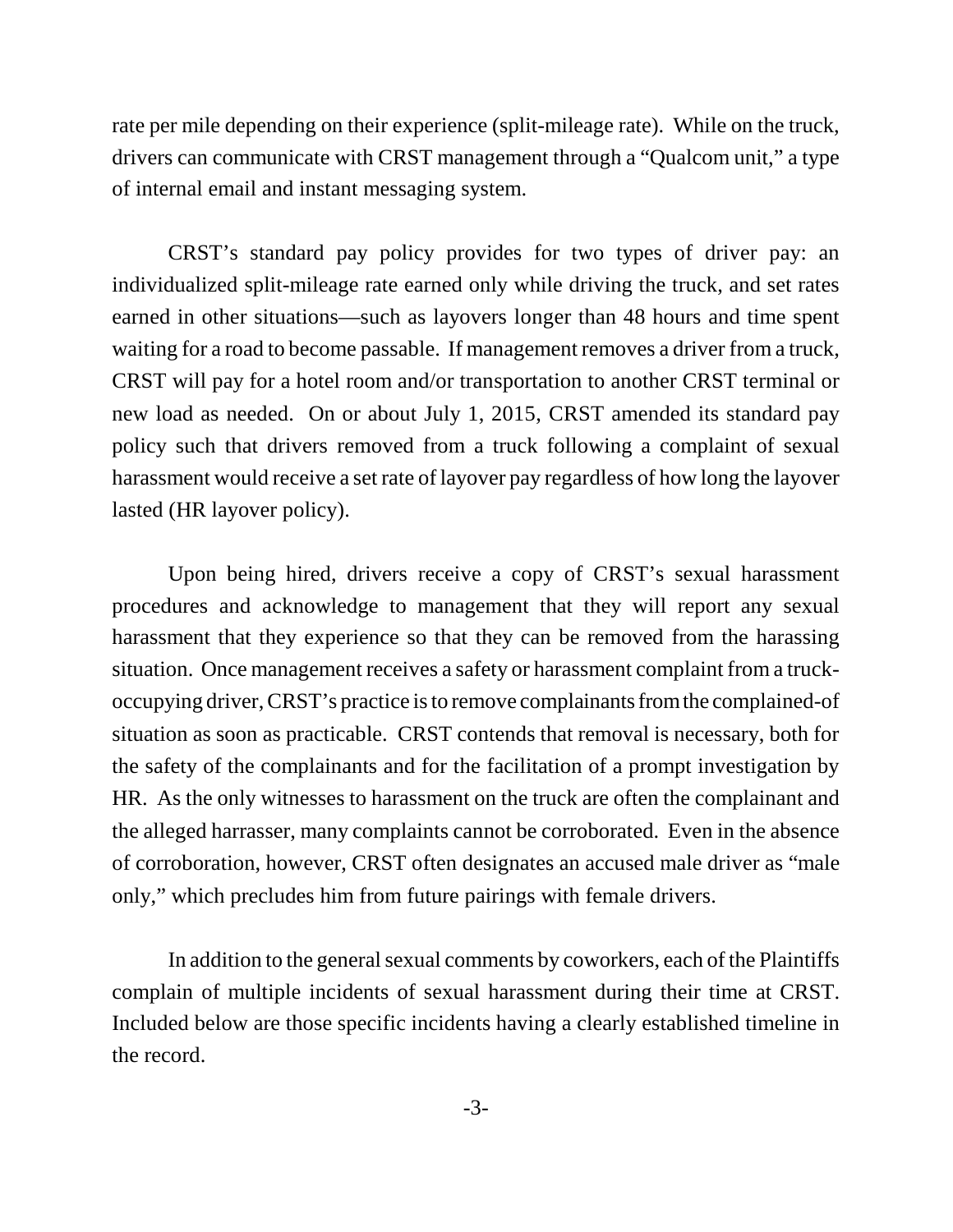rate per mile depending on their experience (split-mileage rate). While on the truck, drivers can communicate with CRST management through a "Qualcom unit," a type of internal email and instant messaging system.

CRST's standard pay policy provides for two types of driver pay: an individualized split-mileage rate earned only while driving the truck, and set rates earned in other situations—such as layovers longer than 48 hours and time spent waiting for a road to become passable.If management removes a driver from a truck, CRST will pay for a hotel room and/or transportation to another CRST terminal or new load as needed.On or about July 1, 2015, CRST amended its standard pay policy such that drivers removed from a truck following a complaint of sexual harassment would receive a set rate of layover pay regardless of how long the layover lasted (HR layover policy).

Upon being hired, drivers receive a copy of CRST's sexual harassment procedures and acknowledge to management that they will report any sexual harassment that they experience so that they can be removed from the harassing situation. Once management receives a safety or harassment complaint from a truckoccupying driver, CRST's practice is to remove complainants from the complained-of situation as soon as practicable.CRST contends that removal is necessary, both for the safety of the complainants and for the facilitation of a prompt investigation by HR.As the only witnesses to harassment on the truck are often the complainant and the alleged harrasser, many complaints cannot be corroborated.Even in the absence of corroboration, however, CRST often designates an accused male driver as "male only," which precludes him from future pairings with female drivers.

In addition to the general sexual comments by coworkers, each of the Plaintiffs complain of multiple incidents of sexual harassment during their time at CRST. Included below are those specific incidents having a clearly established timeline in the record.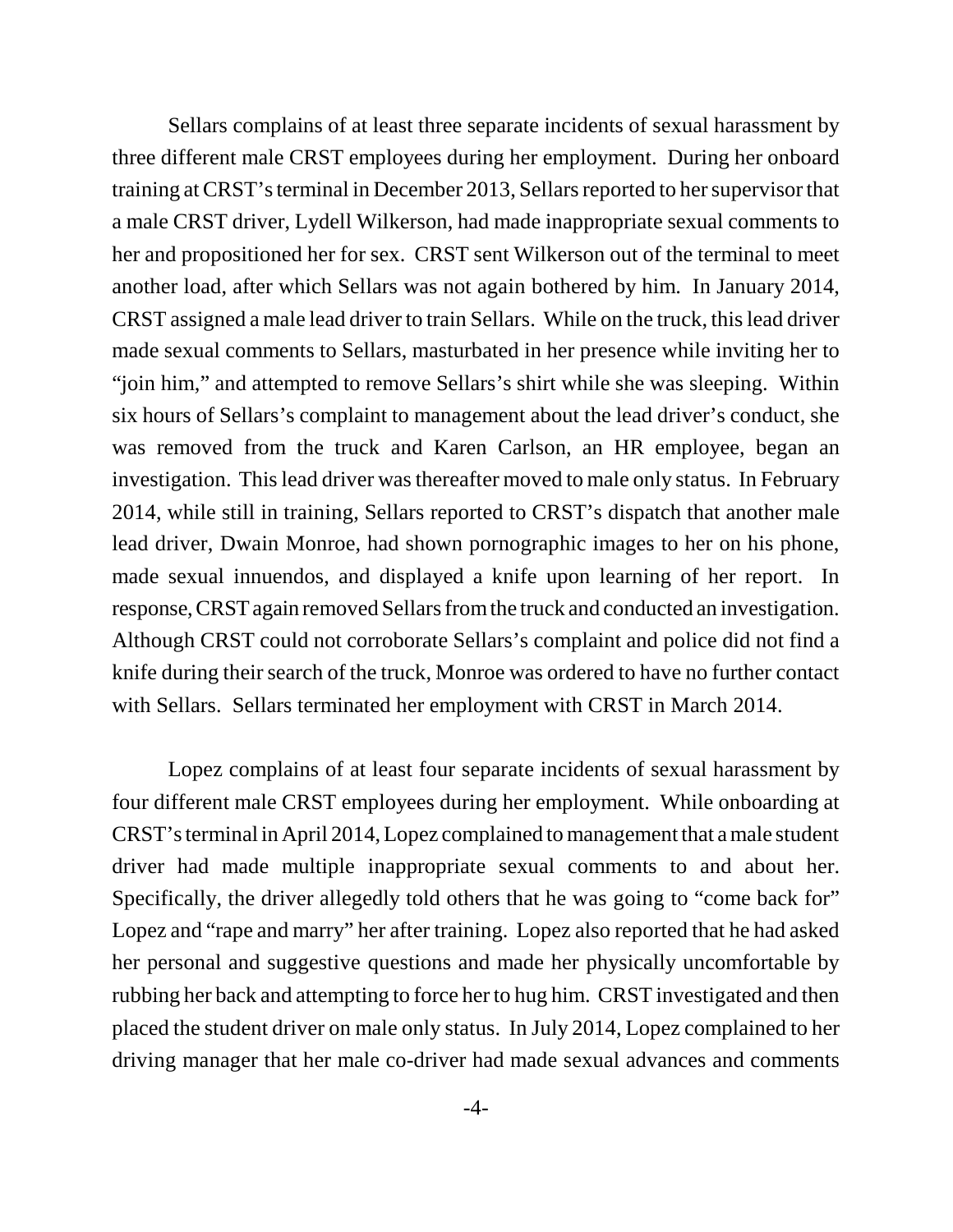Sellars complains of at least three separate incidents of sexual harassment by three different male CRST employees during her employment.During her onboard training at CRST's terminal in December 2013, Sellars reported to her supervisor that a male CRST driver, Lydell Wilkerson, had made inappropriate sexual comments to her and propositioned her for sex.CRST sent Wilkerson out of the terminal to meet another load, after which Sellars was not again bothered by him.In January 2014, CRST assigned a male lead driver to train Sellars. While on the truck, this lead driver made sexual comments to Sellars, masturbated in her presence while inviting her to "join him," and attempted to remove Sellars's shirt while she was sleeping.Within six hours of Sellars's complaint to management about the lead driver's conduct, she was removed from the truck and Karen Carlson, an HR employee, began an investigation.This lead driver was thereafter moved to male only status. In February 2014, while still in training, Sellars reported to CRST's dispatch that another male lead driver, Dwain Monroe, had shown pornographic images to her on his phone, made sexual innuendos, and displayed a knife upon learning of her report.In response, CRST again removed Sellars from the truck and conducted an investigation. Although CRST could not corroborate Sellars's complaint and police did not find a knife during their search of the truck, Monroe was ordered to have no further contact with Sellars.Sellars terminated her employment with CRST in March 2014.

Lopez complains of at least four separate incidents of sexual harassment by four different male CRST employees during her employment.While onboarding at CRST's terminal in April 2014, Lopez complained to management that a male student driver had made multiple inappropriate sexual comments to and about her. Specifically, the driver allegedly told others that he was going to "come back for" Lopez and "rape and marry" her after training.Lopez also reported that he had asked her personal and suggestive questions and made her physically uncomfortable by rubbing her back and attempting to force her to hug him.CRST investigated and then placed the student driver on male only status.In July 2014, Lopez complained to her driving manager that her male co-driver had made sexual advances and comments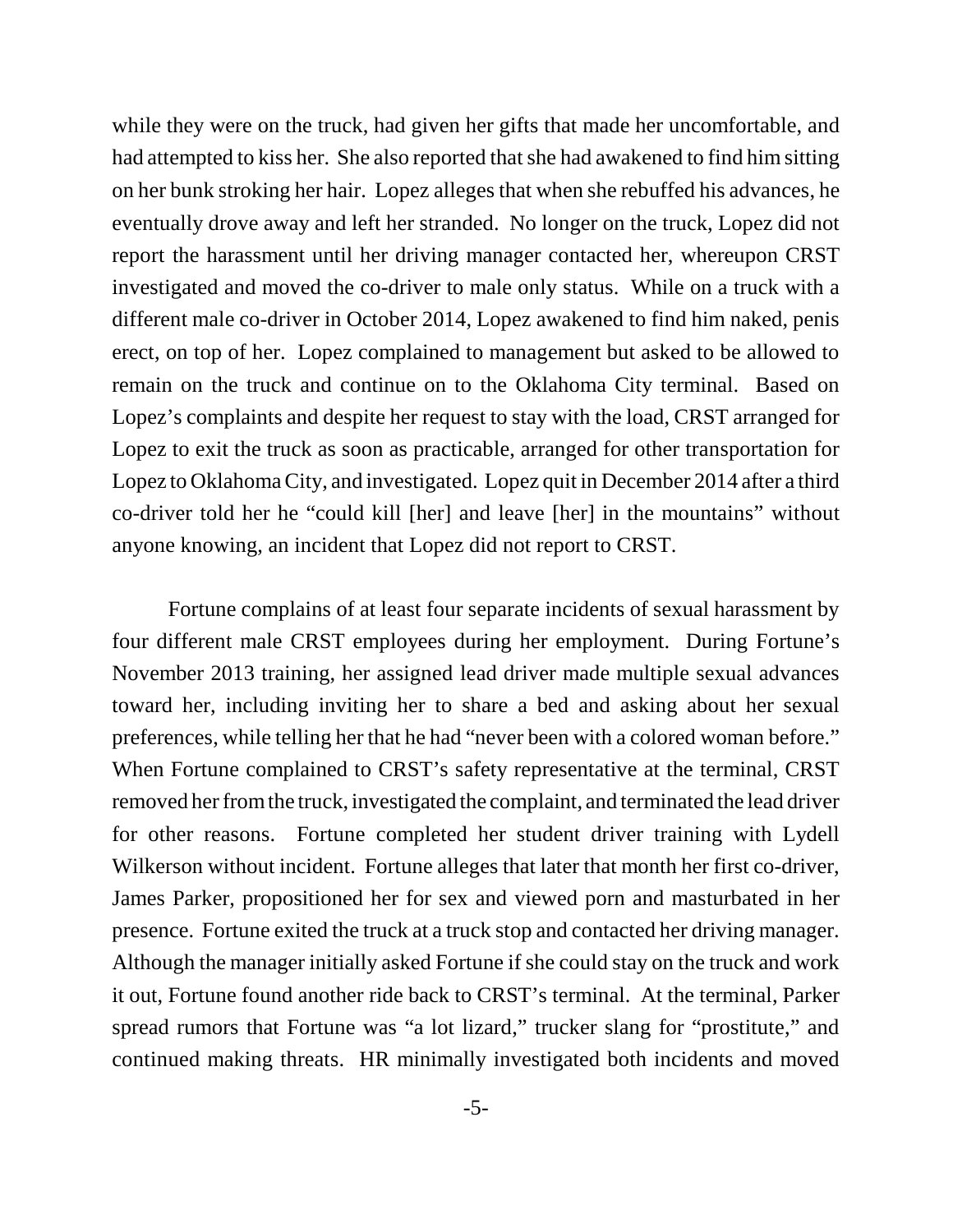while they were on the truck, had given her gifts that made her uncomfortable, and had attempted to kiss her.She also reported that she had awakened to find him sitting on her bunk stroking her hair.Lopez alleges that when she rebuffed his advances, he eventually drove away and left her stranded.No longer on the truck, Lopez did not report the harassment until her driving manager contacted her, whereupon CRST investigated and moved the co-driver to male only status.While on a truck with a different male co-driver in October 2014, Lopez awakened to find him naked, penis erect, on top of her.Lopez complained to management but asked to be allowed to remain on the truck and continue on to the Oklahoma City terminal.Based on Lopez's complaints and despite her request to stay with the load, CRST arranged for Lopez to exit the truck as soon as practicable, arranged for other transportation for Lopez to Oklahoma City, and investigated.Lopez quit in December 2014 after a third co-driver told her he "could kill [her] and leave [her] in the mountains" without anyone knowing, an incident that Lopez did not report to CRST.

Fortune complains of at least four separate incidents of sexual harassment by four different male CRST employees during her employment. During Fortune's November 2013 training, her assigned lead driver made multiple sexual advances toward her, including inviting her to share a bed and asking about her sexual preferences, while telling her that he had "never been with a colored woman before." When Fortune complained to CRST's safety representative at the terminal, CRST removed her from the truck, investigated the complaint, and terminated the lead driver for other reasons.Fortune completed her student driver training with Lydell Wilkerson without incident. Fortune alleges that later that month her first co-driver, James Parker, propositioned her for sex and viewed porn and masturbated in her presence. Fortune exited the truck at a truck stop and contacted her driving manager. Although the manager initially asked Fortune if she could stay on the truck and work it out, Fortune found another ride back to CRST's terminal.At the terminal, Parker spread rumors that Fortune was "a lot lizard," trucker slang for "prostitute," and continued making threats.HR minimally investigated both incidents and moved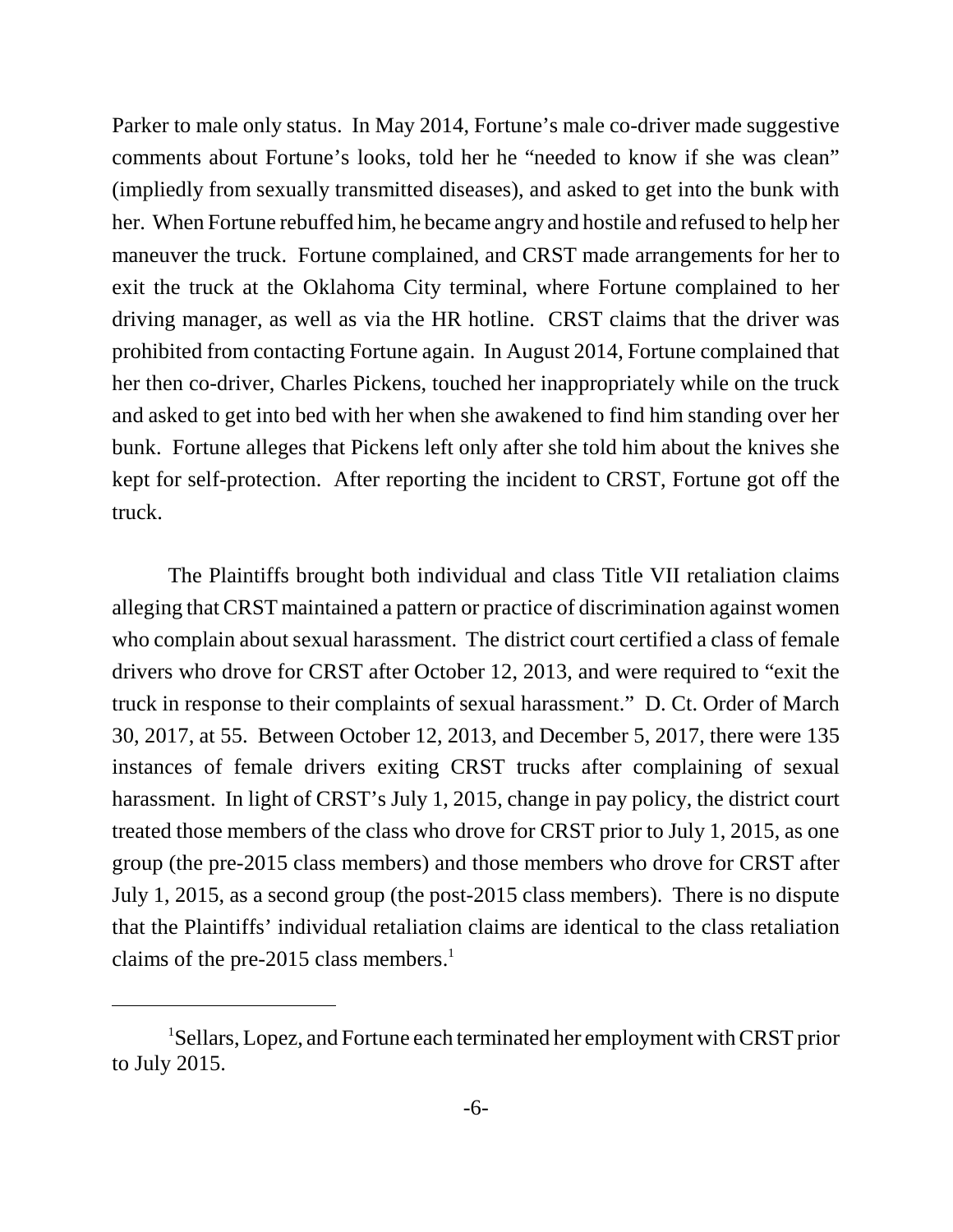Parker to male only status.In May 2014, Fortune's male co-driver made suggestive comments about Fortune's looks, told her he "needed to know if she was clean" (impliedly from sexually transmitted diseases), and asked to get into the bunk with her.When Fortune rebuffed him, he became angry and hostile and refused to help her maneuver the truck. Fortune complained, and CRST made arrangements for her to exit the truck at the Oklahoma City terminal, where Fortune complained to her driving manager, as well as via the HR hotline. CRST claims that the driver was prohibited from contacting Fortune again.In August 2014, Fortune complained that her then co-driver, Charles Pickens, touched her inappropriately while on the truck and asked to get into bed with her when she awakened to find him standing over her bunk. Fortune alleges that Pickens left only after she told him about the knives she kept for self-protection.After reporting the incident to CRST, Fortune got off the truck.

The Plaintiffs brought both individual and class Title VII retaliation claims alleging that CRST maintained a pattern or practice of discrimination against women who complain about sexual harassment. The district court certified a class of female drivers who drove for CRST after October 12, 2013, and were required to "exit the truck in response to their complaints of sexual harassment." D. Ct. Order of March 30, 2017, at 55. Between October 12, 2013, and December 5, 2017, there were 135 instances of female drivers exiting CRST trucks after complaining of sexual harassment. In light of CRST's July 1, 2015, change in pay policy, the district court treated those members of the class who drove for CRST prior to July 1, 2015, as one group (the pre-2015 class members) and those members who drove for CRST after July 1, 2015, as a second group (the post-2015 class members). There is no dispute that the Plaintiffs' individual retaliation claims are identical to the class retaliation claims of the pre-2015 class members. $<sup>1</sup>$ </sup>

<sup>1</sup>Sellars, Lopez, and Fortune each terminated her employment with CRST prior to July 2015.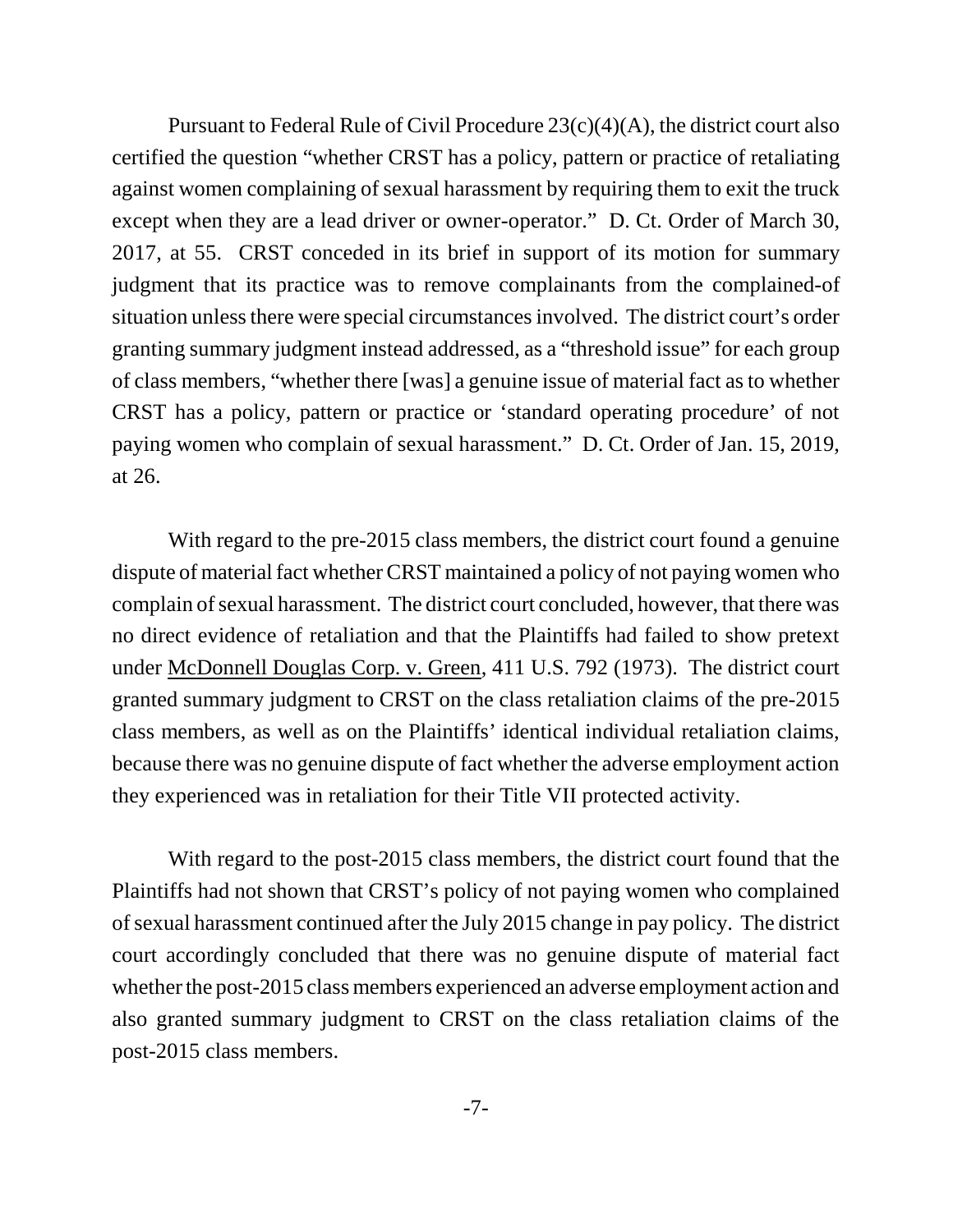Pursuant to Federal Rule of Civil Procedure 23(c)(4)(A), the district court also certified the question "whether CRST has a policy, pattern or practice of retaliating against women complaining of sexual harassment by requiring them to exit the truck except when they are a lead driver or owner-operator." D. Ct. Order of March 30, 2017, at 55. CRST conceded in its brief in support of its motion for summary judgment that its practice was to remove complainants from the complained-of situation unless there were special circumstances involved. The district court's order granting summary judgment instead addressed, as a "threshold issue" for each group of class members, "whether there [was] a genuine issue of material fact as to whether CRST has a policy, pattern or practice or 'standard operating procedure' of not paying women who complain of sexual harassment." D. Ct. Order of Jan. 15, 2019, at 26.

With regard to the pre-2015 class members, the district court found a genuine dispute of material fact whether CRST maintained a policy of not paying women who complain of sexual harassment. The district court concluded, however, that there was no direct evidence of retaliation and that the Plaintiffs had failed to show pretext under McDonnell Douglas Corp. v. Green, 411 U.S. 792 (1973). The district court granted summary judgment to CRST on the class retaliation claims of the pre-2015 class members, as well as on the Plaintiffs' identical individual retaliation claims, because there was no genuine dispute of fact whether the adverse employment action they experienced was in retaliation for their Title VII protected activity.

With regard to the post-2015 class members, the district court found that the Plaintiffs had not shown that CRST's policy of not paying women who complained of sexual harassment continued after the July 2015 change in pay policy. The district court accordingly concluded that there was no genuine dispute of material fact whether the post-2015 class members experienced an adverse employment action and also granted summary judgment to CRST on the class retaliation claims of the post-2015 class members.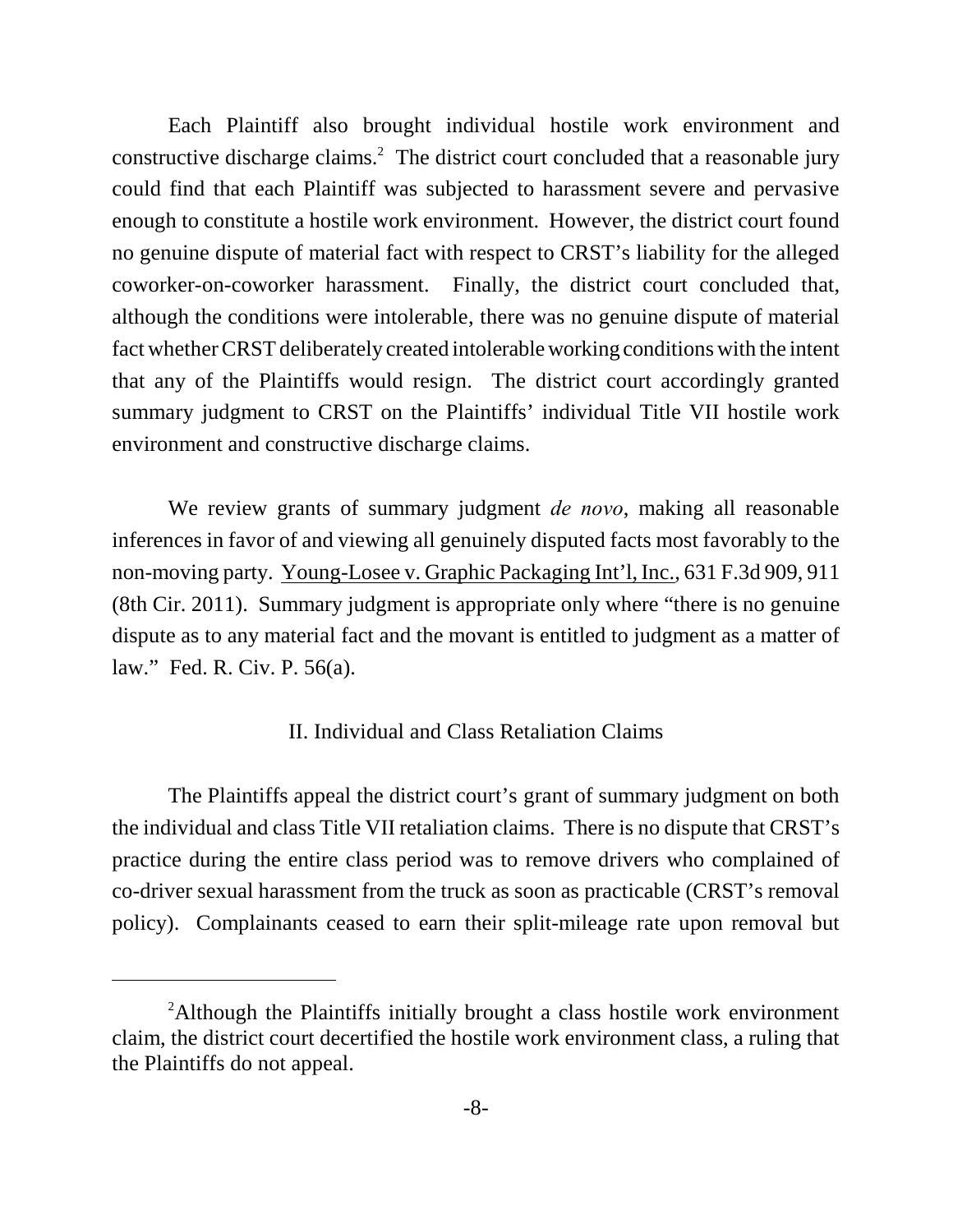Each Plaintiff also brought individual hostile work environment and constructive discharge claims.<sup>2</sup> The district court concluded that a reasonable jury could find that each Plaintiff was subjected to harassment severe and pervasive enough to constitute a hostile work environment. However, the district court found no genuine dispute of material fact with respect to CRST's liability for the alleged coworker-on-coworker harassment. Finally, the district court concluded that, although the conditions were intolerable, there was no genuine dispute of material fact whether CRST deliberately created intolerable working conditions with the intent that any of the Plaintiffs would resign. The district court accordingly granted summary judgment to CRST on the Plaintiffs' individual Title VII hostile work environment and constructive discharge claims.

We review grants of summary judgment *de novo*, making all reasonable inferences in favor of and viewing all genuinely disputed facts most favorably to the non-moving party. Young-Losee v. Graphic Packaging Int'l, Inc., 631 F.3d 909, 911 (8th Cir. 2011). Summary judgment is appropriate only where "there is no genuine dispute as to any material fact and the movant is entitled to judgment as a matter of law." Fed. R. Civ. P. 56(a).

# II. Individual and Class Retaliation Claims

The Plaintiffs appeal the district court's grant of summary judgment on both the individual and class Title VII retaliation claims. There is no dispute that CRST's practice during the entire class period was to remove drivers who complained of co-driver sexual harassment from the truck as soon as practicable (CRST's removal policy). Complainants ceased to earn their split-mileage rate upon removal but

<sup>&</sup>lt;sup>2</sup>Although the Plaintiffs initially brought a class hostile work environment claim, the district court decertified the hostile work environment class, a ruling that the Plaintiffs do not appeal.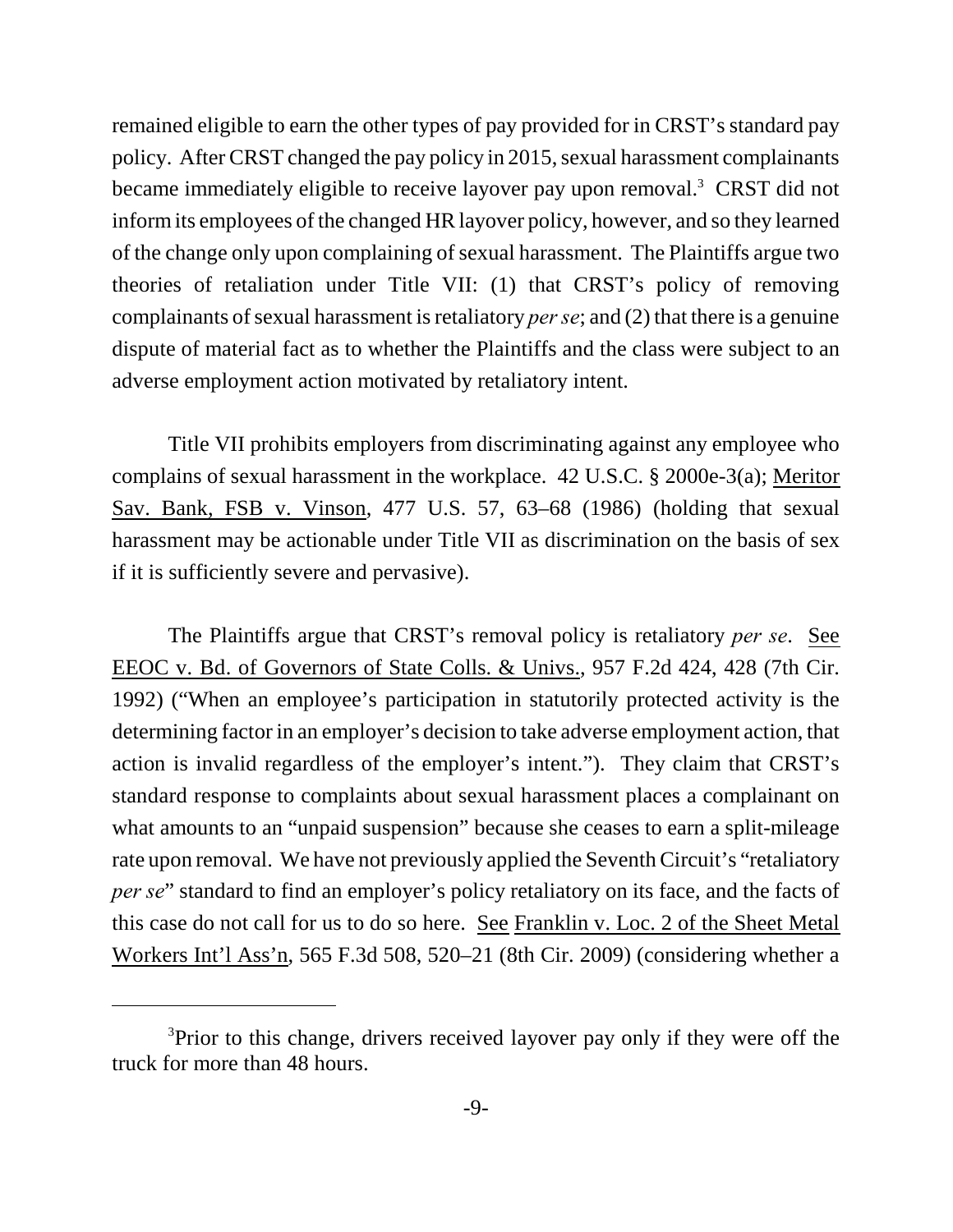remained eligible to earn the other types of pay provided for in CRST's standard pay policy. After CRST changed the pay policy in 2015, sexual harassment complainants became immediately eligible to receive layover pay upon removal.<sup>3</sup> CRST did not inform its employees of the changed HR layover policy, however, and so they learned of the change only upon complaining of sexual harassment. The Plaintiffs argue two theories of retaliation under Title VII: (1) that CRST's policy of removing complainants of sexual harassment is retaliatory *per se*; and (2) that there is a genuine dispute of material fact as to whether the Plaintiffs and the class were subject to an adverse employment action motivated by retaliatory intent.

Title VII prohibits employers from discriminating against any employee who complains of sexual harassment in the workplace. 42 U.S.C. § 2000e-3(a); Meritor Sav. Bank, FSB v. Vinson, 477 U.S. 57, 63–68 (1986) (holding that sexual harassment may be actionable under Title VII as discrimination on the basis of sex if it is sufficiently severe and pervasive).

The Plaintiffs argue that CRST's removal policy is retaliatory *per se*. See EEOC v. Bd. of Governors of State Colls. & Univs., 957 F.2d 424, 428 (7th Cir. 1992) ("When an employee's participation in statutorily protected activity is the determining factor in an employer's decision to take adverse employment action, that action is invalid regardless of the employer's intent."). They claim that CRST's standard response to complaints about sexual harassment places a complainant on what amounts to an "unpaid suspension" because she ceases to earn a split-mileage rate upon removal. We have not previously applied the Seventh Circuit's "retaliatory *per se*" standard to find an employer's policy retaliatory on its face, and the facts of this case do not call for us to do so here. See Franklin v. Loc. 2 of the Sheet Metal Workers Int'l Ass'n, 565 F.3d 508, 520–21 (8th Cir. 2009) (considering whether a

<sup>&</sup>lt;sup>3</sup>Prior to this change, drivers received layover pay only if they were off the truck for more than 48 hours.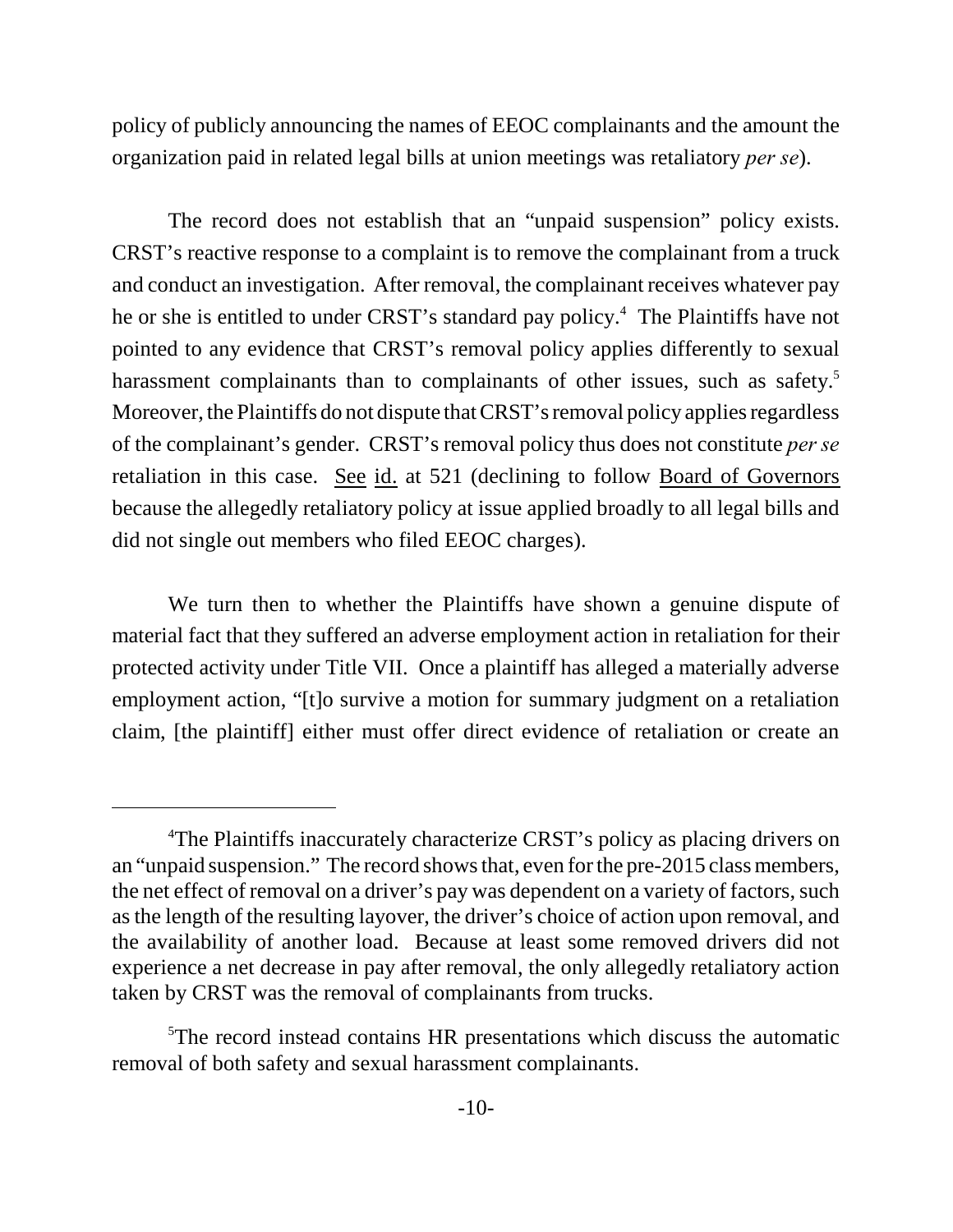policy of publicly announcing the names of EEOC complainants and the amount the organization paid in related legal bills at union meetings was retaliatory *per se*).

The record does not establish that an "unpaid suspension" policy exists. CRST's reactive response to a complaint is to remove the complainant from a truck and conduct an investigation. After removal, the complainant receives whatever pay he or she is entitled to under CRST's standard pay policy.<sup>4</sup> The Plaintiffs have not pointed to any evidence that CRST's removal policy applies differently to sexual harassment complainants than to complainants of other issues, such as safety.<sup>5</sup> Moreover, the Plaintiffs do not dispute that CRST's removal policy applies regardless of the complainant's gender. CRST's removal policy thus does not constitute *per se* retaliation in this case. See id. at 521 (declining to follow Board of Governors because the allegedly retaliatory policy at issue applied broadly to all legal bills and did not single out members who filed EEOC charges).

We turn then to whether the Plaintiffs have shown a genuine dispute of material fact that they suffered an adverse employment action in retaliation for their protected activity under Title VII. Once a plaintiff has alleged a materially adverse employment action, "[t]o survive a motion for summary judgment on a retaliation claim, [the plaintiff] either must offer direct evidence of retaliation or create an

<sup>&</sup>lt;sup>4</sup>The Plaintiffs inaccurately characterize CRST's policy as placing drivers on an "unpaid suspension." The record shows that, even for the pre-2015 class members, the net effect of removal on a driver's pay was dependent on a variety of factors, such as the length of the resulting layover, the driver's choice of action upon removal, and the availability of another load. Because at least some removed drivers did not experience a net decrease in pay after removal, the only allegedly retaliatory action taken by CRST was the removal of complainants from trucks.

<sup>&</sup>lt;sup>5</sup>The record instead contains HR presentations which discuss the automatic removal of both safety and sexual harassment complainants.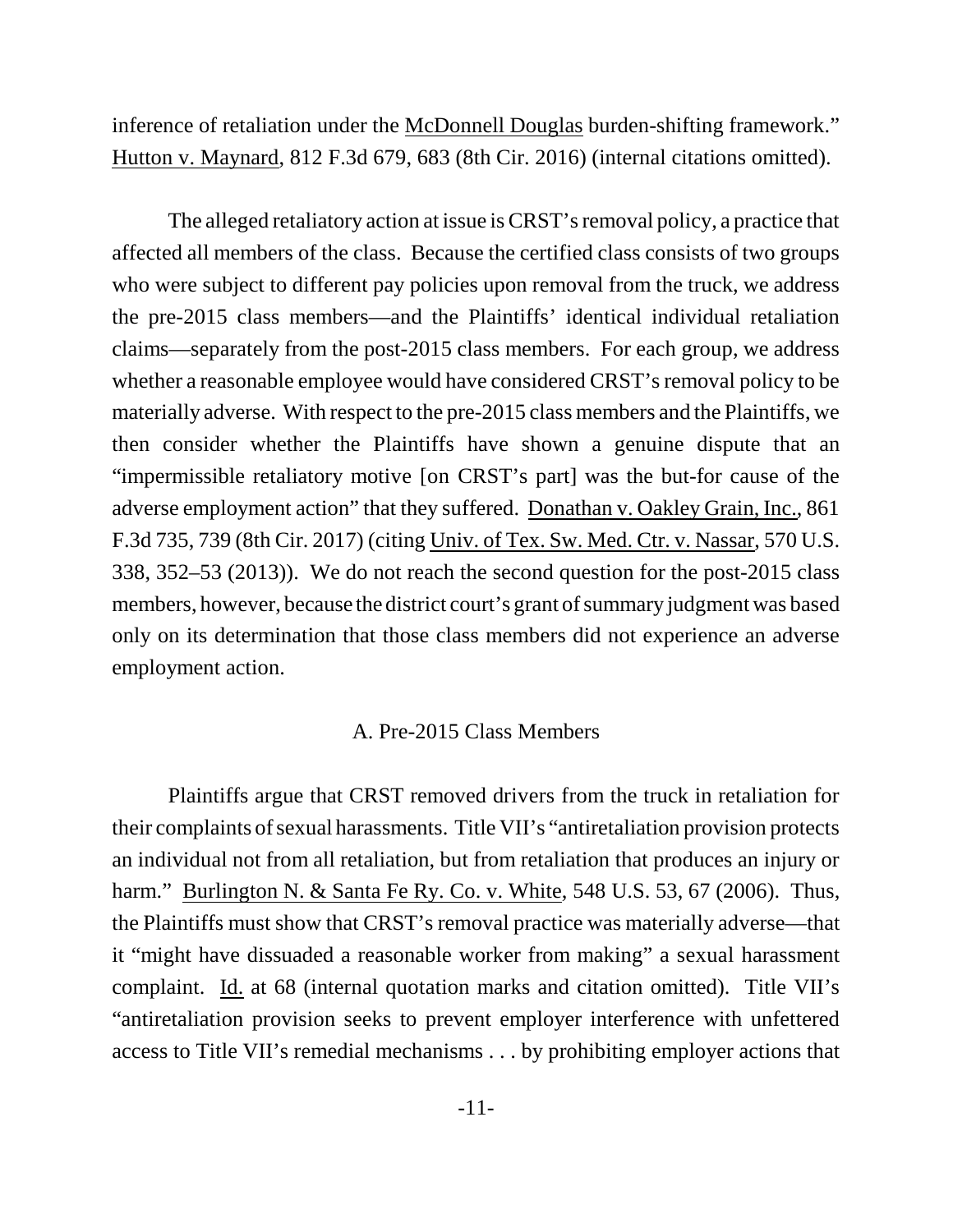inference of retaliation under the McDonnell Douglas burden-shifting framework." Hutton v. Maynard, 812 F.3d 679, 683 (8th Cir. 2016) (internal citations omitted).

The alleged retaliatory action at issue is CRST's removal policy, a practice that affected all members of the class. Because the certified class consists of two groups who were subject to different pay policies upon removal from the truck, we address the pre-2015 class members—and the Plaintiffs' identical individual retaliation claims—separately from the post-2015 class members. For each group, we address whether a reasonable employee would have considered CRST's removal policy to be materially adverse. With respect to the pre-2015 class members and the Plaintiffs, we then consider whether the Plaintiffs have shown a genuine dispute that an "impermissible retaliatory motive [on CRST's part] was the but-for cause of the adverse employment action" that they suffered. Donathan v. Oakley Grain, Inc., 861 F.3d 735, 739 (8th Cir. 2017) (citing Univ. of Tex. Sw. Med. Ctr. v. Nassar, 570 U.S. 338, 352–53 (2013)). We do not reach the second question for the post-2015 class members, however, because the district court's grant of summary judgment was based only on its determination that those class members did not experience an adverse employment action.

## A. Pre-2015 Class Members

Plaintiffs argue that CRST removed drivers from the truck in retaliation for their complaints of sexual harassments. Title VII's "antiretaliation provision protects an individual not from all retaliation, but from retaliation that produces an injury or harm." Burlington N. & Santa Fe Ry. Co. v. White, 548 U.S. 53, 67 (2006). Thus, the Plaintiffs must show that CRST's removal practice was materially adverse—that it "might have dissuaded a reasonable worker from making" a sexual harassment complaint. Id. at 68 (internal quotation marks and citation omitted). Title VII's "antiretaliation provision seeks to prevent employer interference with unfettered access to Title VII's remedial mechanisms . . . by prohibiting employer actions that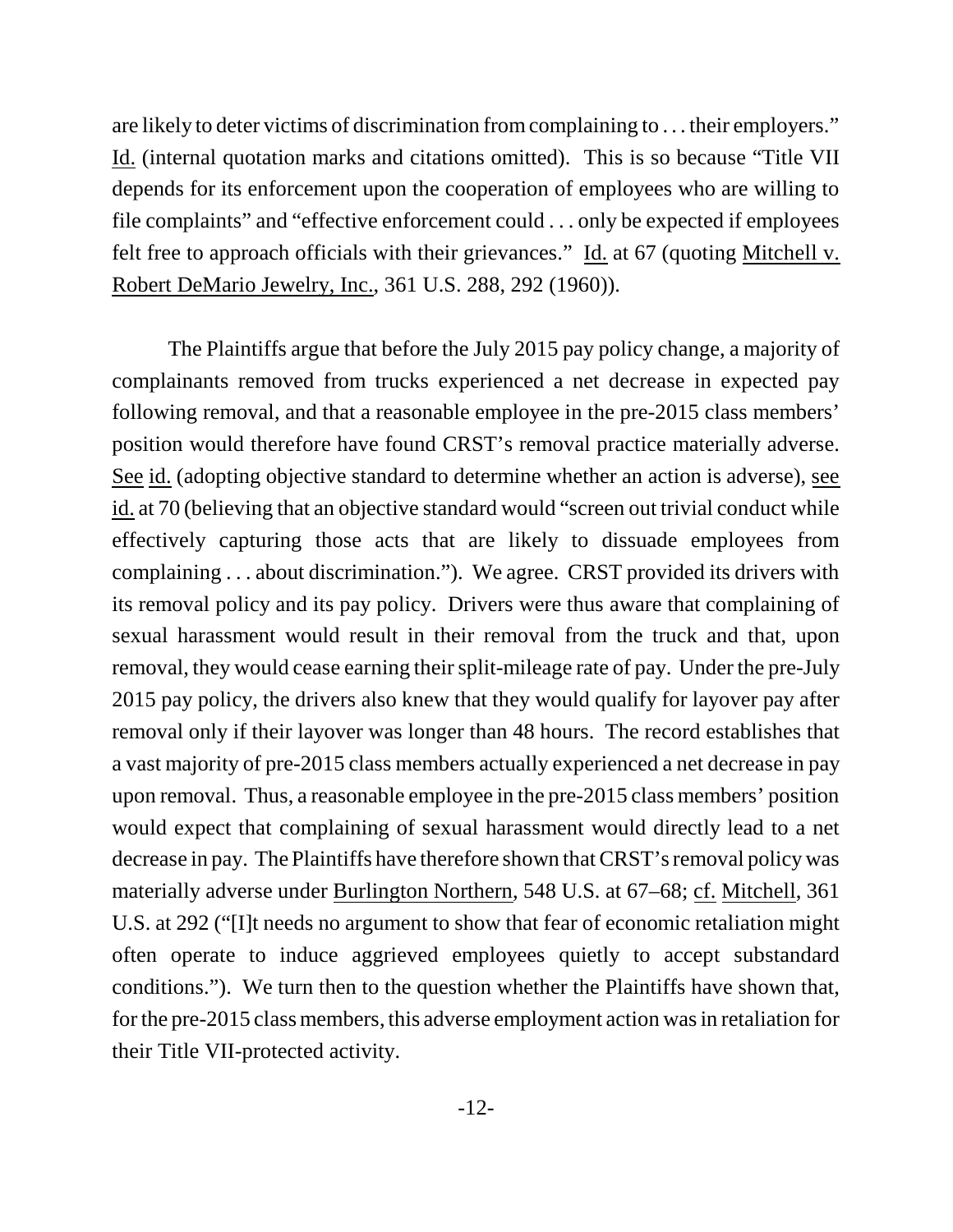are likely to deter victims of discrimination from complaining to . . . their employers." Id. (internal quotation marks and citations omitted). This is so because "Title VII depends for its enforcement upon the cooperation of employees who are willing to file complaints" and "effective enforcement could . . . only be expected if employees felt free to approach officials with their grievances." Id. at 67 (quoting Mitchell v. Robert DeMario Jewelry, Inc., 361 U.S. 288, 292 (1960)).

The Plaintiffs argue that before the July 2015 pay policy change, a majority of complainants removed from trucks experienced a net decrease in expected pay following removal, and that a reasonable employee in the pre-2015 class members' position would therefore have found CRST's removal practice materially adverse. See id. (adopting objective standard to determine whether an action is adverse), see id. at 70 (believing that an objective standard would "screen out trivial conduct while effectively capturing those acts that are likely to dissuade employees from complaining . . . about discrimination."). We agree. CRST provided its drivers with its removal policy and its pay policy. Drivers were thus aware that complaining of sexual harassment would result in their removal from the truck and that, upon removal, they would cease earning their split-mileage rate of pay. Under the pre-July 2015 pay policy, the drivers also knew that they would qualify for layover pay after removal only if their layover was longer than 48 hours. The record establishes that a vast majority of pre-2015 class members actually experienced a net decrease in pay upon removal. Thus, a reasonable employee in the pre-2015 class members' position would expect that complaining of sexual harassment would directly lead to a net decrease in pay. The Plaintiffs have therefore shown that CRST's removal policy was materially adverse under Burlington Northern, 548 U.S. at 67–68; cf. Mitchell, 361 U.S. at 292 ("[I]t needs no argument to show that fear of economic retaliation might often operate to induce aggrieved employees quietly to accept substandard conditions."). We turn then to the question whether the Plaintiffs have shown that, for the pre-2015 class members, this adverse employment action was in retaliation for their Title VII-protected activity.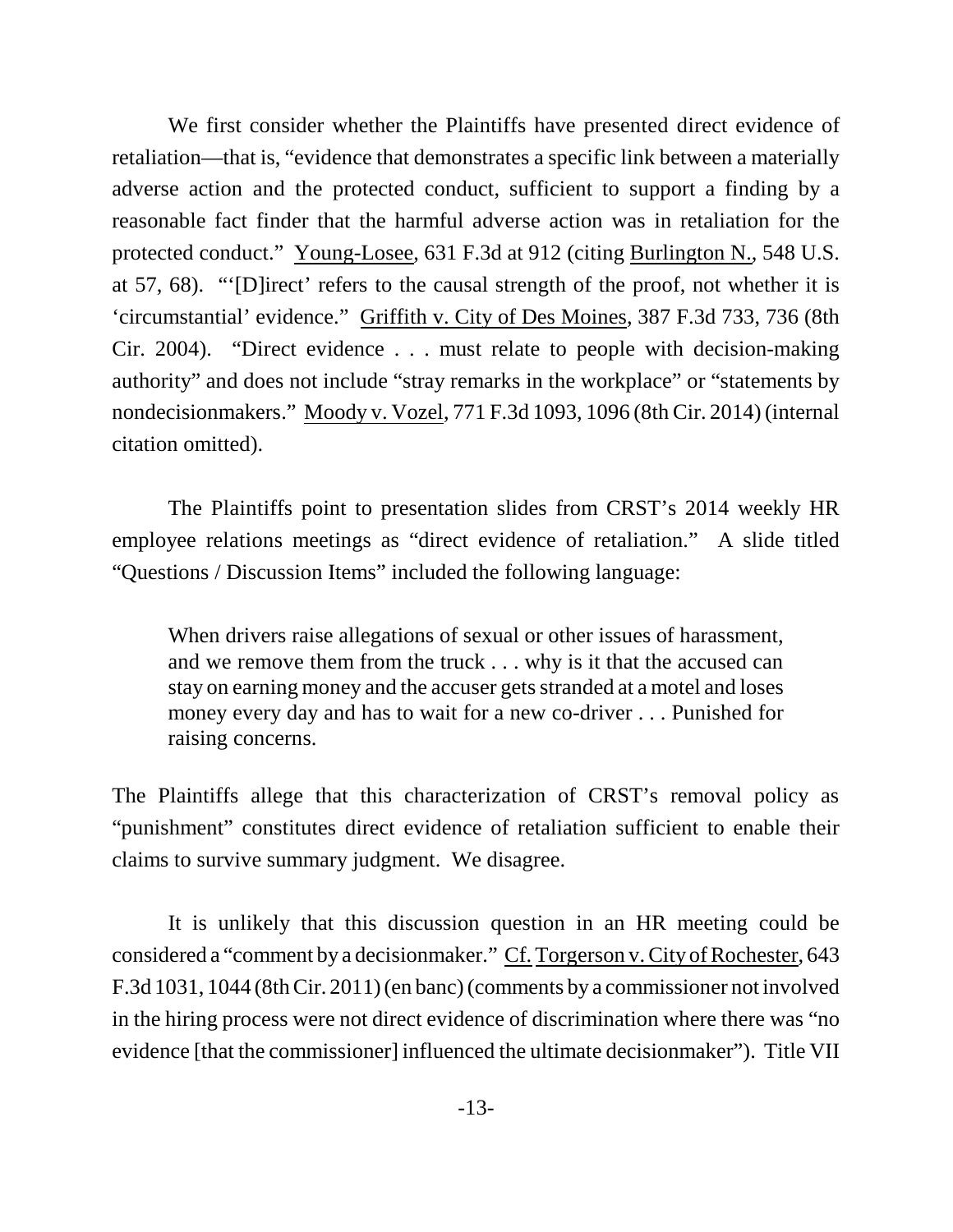We first consider whether the Plaintiffs have presented direct evidence of retaliation—that is, "evidence that demonstrates a specific link between a materially adverse action and the protected conduct, sufficient to support a finding by a reasonable fact finder that the harmful adverse action was in retaliation for the protected conduct." Young-Losee, 631 F.3d at 912 (citing Burlington N., 548 U.S. at 57, 68). "'[D]irect' refers to the causal strength of the proof, not whether it is 'circumstantial' evidence." Griffith v. City of Des Moines, 387 F.3d 733, 736 (8th Cir. 2004). "Direct evidence . . . must relate to people with decision-making authority" and does not include "stray remarks in the workplace" or "statements by nondecisionmakers." Moody v. Vozel, 771 F.3d 1093, 1096 (8th Cir. 2014) (internal citation omitted).

The Plaintiffs point to presentation slides from CRST's 2014 weekly HR employee relations meetings as "direct evidence of retaliation." A slide titled "Questions / Discussion Items" included the following language:

When drivers raise allegations of sexual or other issues of harassment, and we remove them from the truck . . . why is it that the accused can stay on earning money and the accuser gets stranded at a motel and loses money every day and has to wait for a new co-driver . . . Punished for raising concerns.

The Plaintiffs allege that this characterization of CRST's removal policy as "punishment" constitutes direct evidence of retaliation sufficient to enable their claims to survive summary judgment. We disagree.

It is unlikely that this discussion question in an HR meeting could be considered a "comment by a decisionmaker." Cf. Torgerson v. City of Rochester, 643 F.3d 1031, 1044 (8th Cir. 2011) (en banc) (comments by a commissioner not involved in the hiring process were not direct evidence of discrimination where there was "no evidence [that the commissioner] influenced the ultimate decisionmaker"). Title VII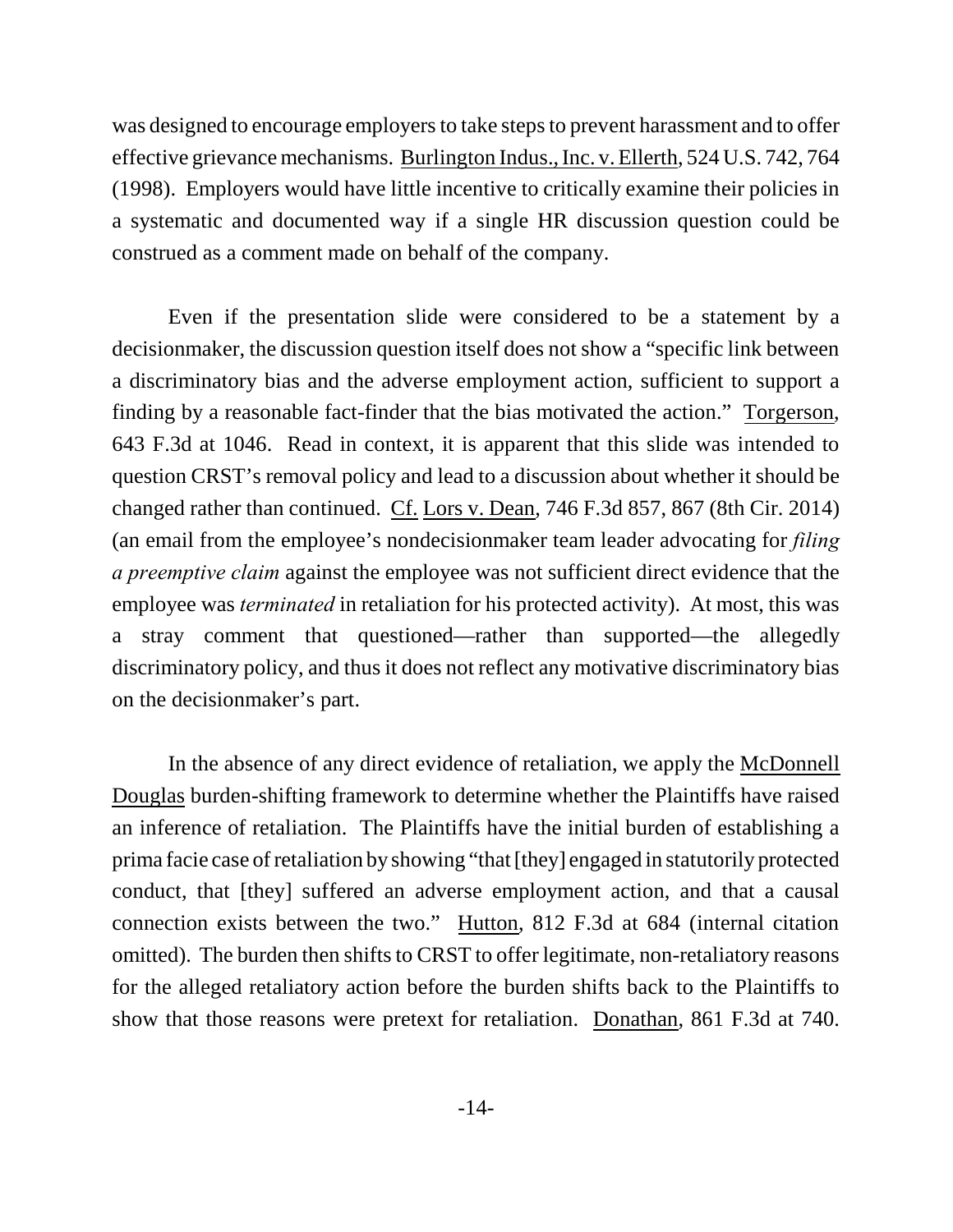was designed to encourage employers to take steps to prevent harassment and to offer effective grievance mechanisms. Burlington Indus., Inc. v. Ellerth, 524 U.S. 742, 764 (1998). Employers would have little incentive to critically examine their policies in a systematic and documented way if a single HR discussion question could be construed as a comment made on behalf of the company.

Even if the presentation slide were considered to be a statement by a decisionmaker, the discussion question itself does not show a "specific link between a discriminatory bias and the adverse employment action, sufficient to support a finding by a reasonable fact-finder that the bias motivated the action." Torgerson, 643 F.3d at 1046. Read in context, it is apparent that this slide was intended to question CRST's removal policy and lead to a discussion about whether it should be changed rather than continued. Cf. Lors v. Dean, 746 F.3d 857, 867 (8th Cir. 2014) (an email from the employee's nondecisionmaker team leader advocating for *filing a preemptive claim* against the employee was not sufficient direct evidence that the employee was *terminated* in retaliation for his protected activity). At most, this was a stray comment that questioned—rather than supported—the allegedly discriminatory policy, and thus it does not reflect any motivative discriminatory bias on the decisionmaker's part.

In the absence of any direct evidence of retaliation, we apply the McDonnell Douglas burden-shifting framework to determine whether the Plaintiffs have raised an inference of retaliation. The Plaintiffs have the initial burden of establishing a prima facie case of retaliation by showing "that [they] engaged in statutorily protected conduct, that [they] suffered an adverse employment action, and that a causal connection exists between the two." Hutton, 812 F.3d at 684 (internal citation omitted). The burden then shifts to CRST to offer legitimate, non-retaliatory reasons for the alleged retaliatory action before the burden shifts back to the Plaintiffs to show that those reasons were pretext for retaliation. Donathan, 861 F.3d at 740.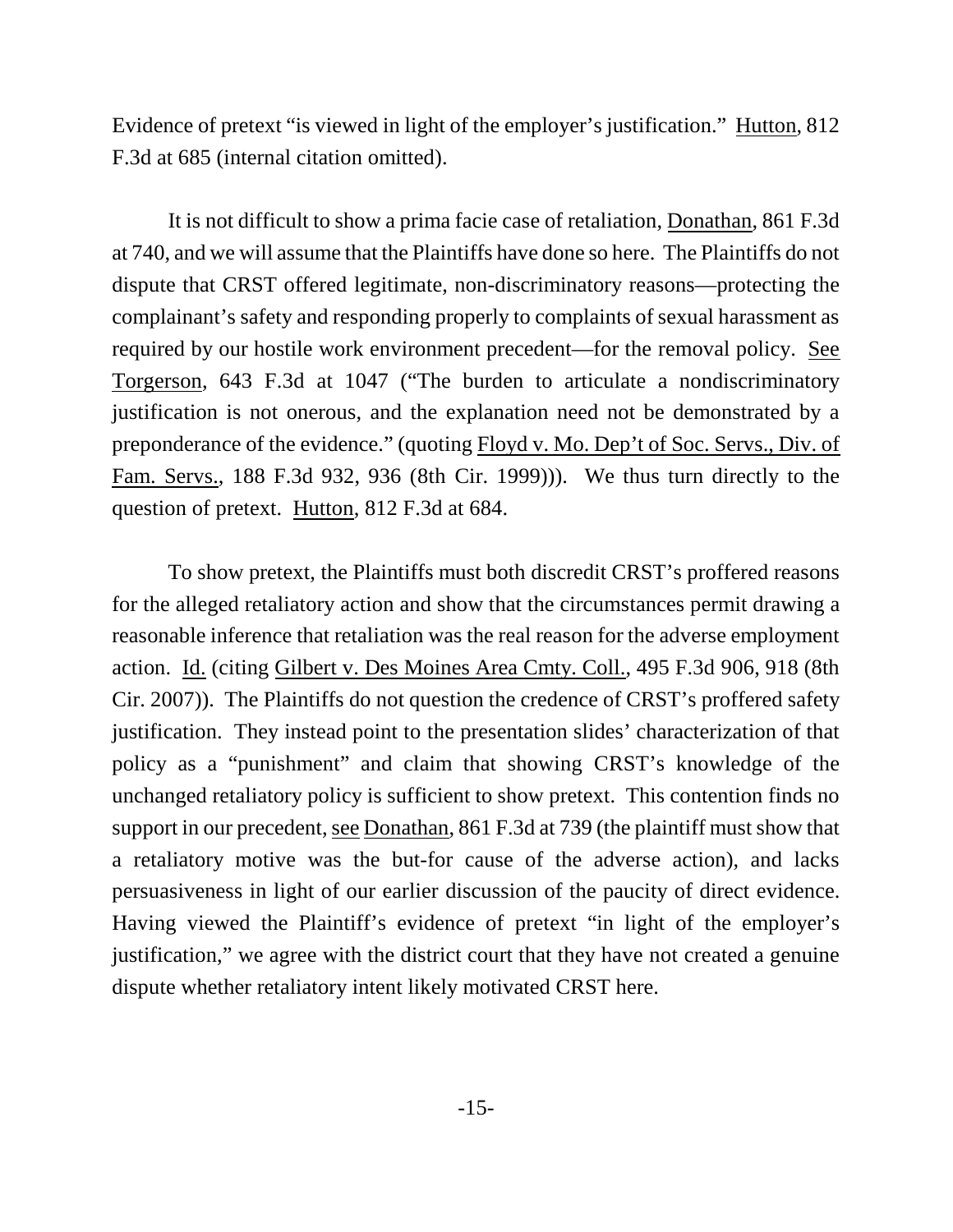Evidence of pretext "is viewed in light of the employer's justification." Hutton, 812 F.3d at 685 (internal citation omitted).

It is not difficult to show a prima facie case of retaliation, Donathan, 861 F.3d at 740, and we will assume that the Plaintiffs have done so here. The Plaintiffs do not dispute that CRST offered legitimate, non-discriminatory reasons—protecting the complainant's safety and responding properly to complaints of sexual harassment as required by our hostile work environment precedent—for the removal policy. See Torgerson, 643 F.3d at 1047 ("The burden to articulate a nondiscriminatory justification is not onerous, and the explanation need not be demonstrated by a preponderance of the evidence." (quoting Floyd v. Mo. Dep't of Soc. Servs., Div. of Fam. Servs., 188 F.3d 932, 936 (8th Cir. 1999))). We thus turn directly to the question of pretext. Hutton, 812 F.3d at 684.

To show pretext, the Plaintiffs must both discredit CRST's proffered reasons for the alleged retaliatory action and show that the circumstances permit drawing a reasonable inference that retaliation was the real reason for the adverse employment action. Id. (citing Gilbert v. Des Moines Area Cmty. Coll., 495 F.3d 906, 918 (8th Cir. 2007)). The Plaintiffs do not question the credence of CRST's proffered safety justification. They instead point to the presentation slides' characterization of that policy as a "punishment" and claim that showing CRST's knowledge of the unchanged retaliatory policy is sufficient to show pretext. This contention finds no support in our precedent, see Donathan, 861 F.3d at 739 (the plaintiff must show that a retaliatory motive was the but-for cause of the adverse action), and lacks persuasiveness in light of our earlier discussion of the paucity of direct evidence. Having viewed the Plaintiff's evidence of pretext "in light of the employer's justification," we agree with the district court that they have not created a genuine dispute whether retaliatory intent likely motivated CRST here.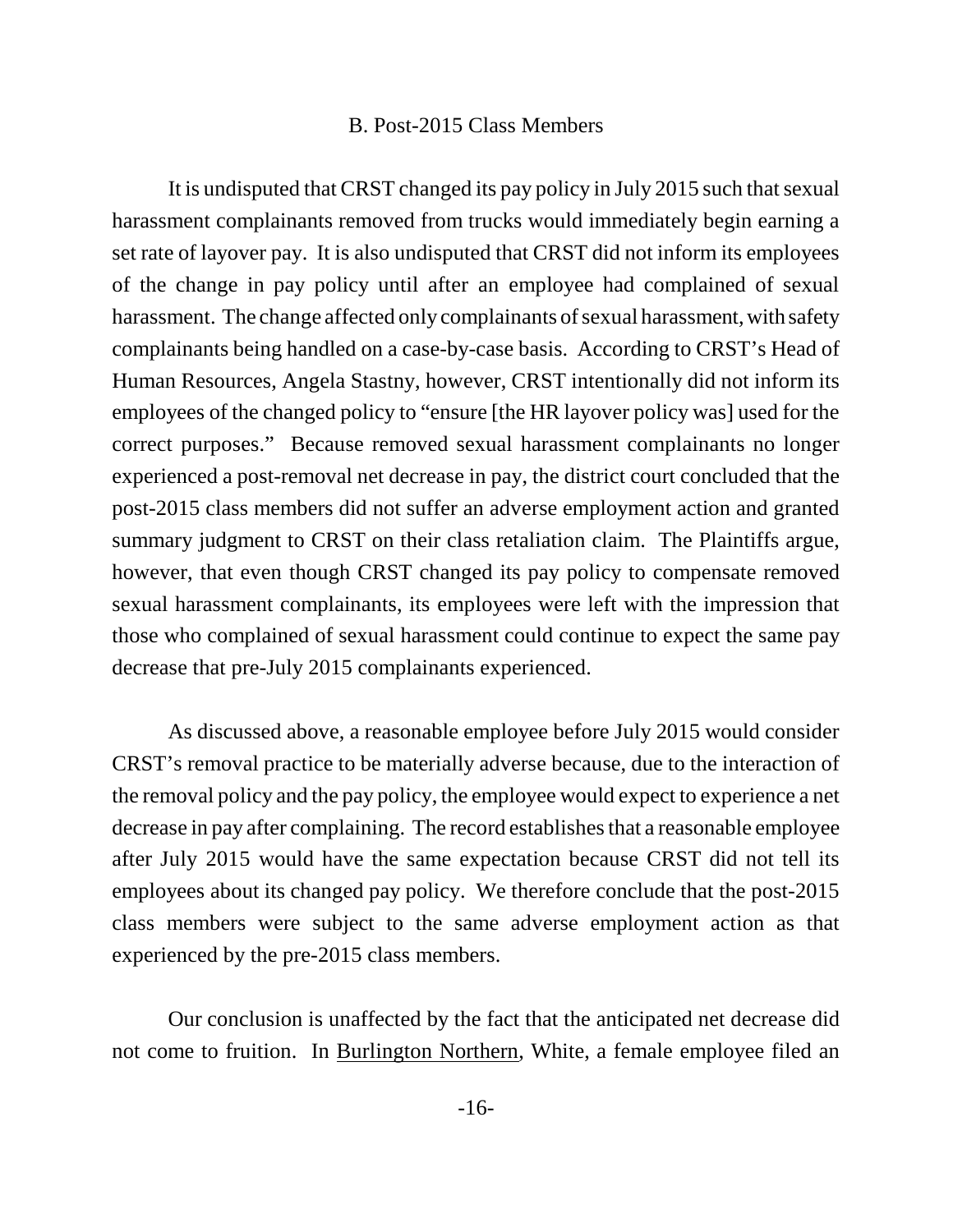#### B. Post-2015 Class Members

It is undisputed that CRST changed its pay policy in July 2015 such that sexual harassment complainants removed from trucks would immediately begin earning a set rate of layover pay. It is also undisputed that CRST did not inform its employees of the change in pay policy until after an employee had complained of sexual harassment. The change affected only complainants of sexual harassment, with safety complainants being handled on a case-by-case basis. According to CRST's Head of Human Resources, Angela Stastny, however, CRST intentionally did not inform its employees of the changed policy to "ensure [the HR layover policy was] used for the correct purposes." Because removed sexual harassment complainants no longer experienced a post-removal net decrease in pay, the district court concluded that the post-2015 class members did not suffer an adverse employment action and granted summary judgment to CRST on their class retaliation claim. The Plaintiffs argue, however, that even though CRST changed its pay policy to compensate removed sexual harassment complainants, its employees were left with the impression that those who complained of sexual harassment could continue to expect the same pay decrease that pre-July 2015 complainants experienced.

As discussed above, a reasonable employee before July 2015 would consider CRST's removal practice to be materially adverse because, due to the interaction of the removal policy and the pay policy, the employee would expect to experience a net decrease in pay after complaining. The record establishes that a reasonable employee after July 2015 would have the same expectation because CRST did not tell its employees about its changed pay policy. We therefore conclude that the post-2015 class members were subject to the same adverse employment action as that experienced by the pre-2015 class members.

Our conclusion is unaffected by the fact that the anticipated net decrease did not come to fruition. In Burlington Northern, White, a female employee filed an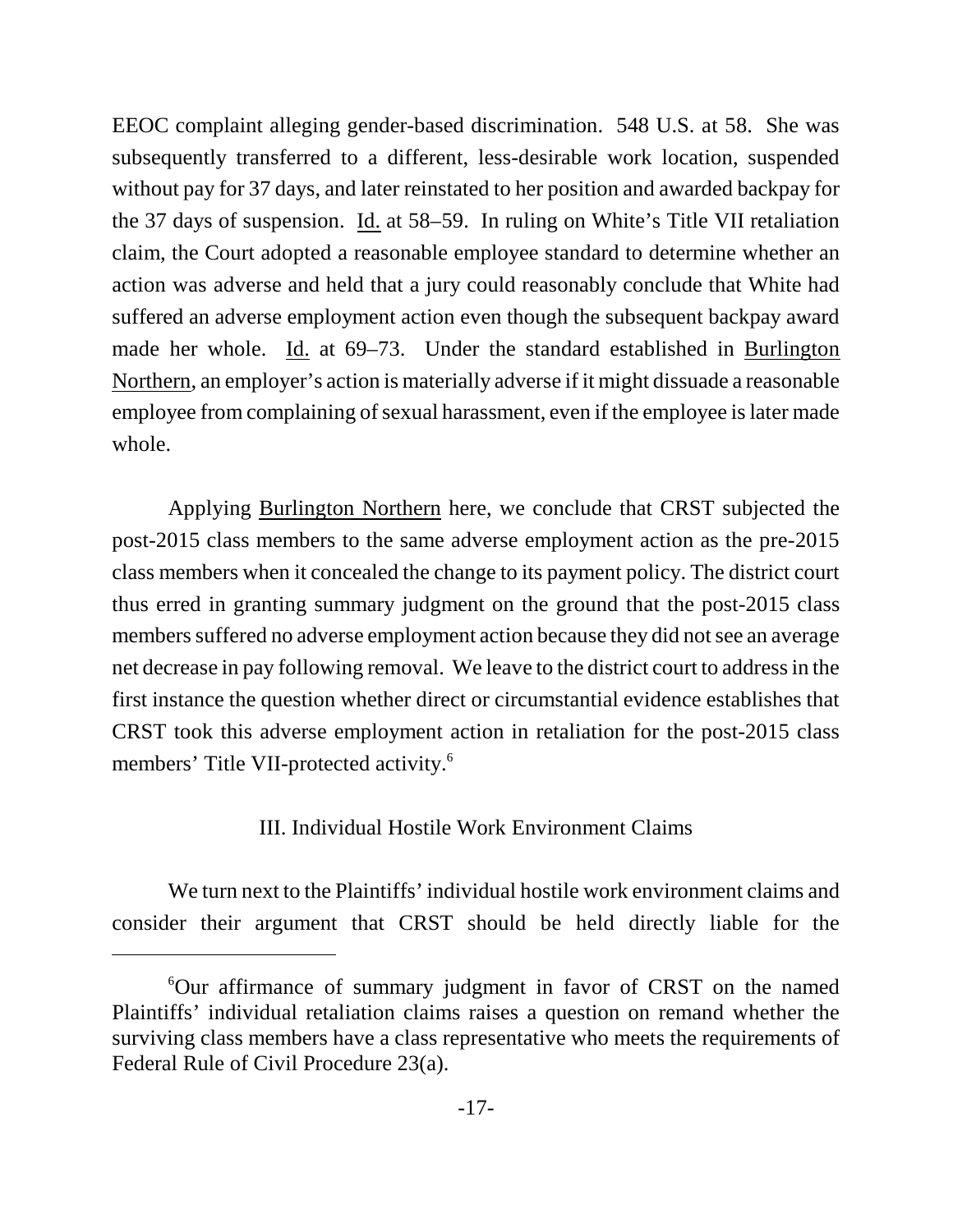EEOC complaint alleging gender-based discrimination. 548 U.S. at 58. She was subsequently transferred to a different, less-desirable work location, suspended without pay for 37 days, and later reinstated to her position and awarded backpay for the 37 days of suspension. Id. at 58–59. In ruling on White's Title VII retaliation claim, the Court adopted a reasonable employee standard to determine whether an action was adverse and held that a jury could reasonably conclude that White had suffered an adverse employment action even though the subsequent backpay award made her whole. Id. at 69–73. Under the standard established in Burlington Northern, an employer's action is materially adverse if it might dissuade a reasonable employee from complaining of sexual harassment, even if the employee is later made whole.

Applying Burlington Northern here, we conclude that CRST subjected the post-2015 class members to the same adverse employment action as the pre-2015 class members when it concealed the change to its payment policy. The district court thus erred in granting summary judgment on the ground that the post-2015 class members suffered no adverse employment action because they did not see an average net decrease in pay following removal. We leave to the district court to address in the first instance the question whether direct or circumstantial evidence establishes that CRST took this adverse employment action in retaliation for the post-2015 class members' Title VII-protected activity.<sup>6</sup>

# III. Individual Hostile Work Environment Claims

We turn next to the Plaintiffs' individual hostile work environment claims and consider their argument that CRST should be held directly liable for the

<sup>6</sup>Our affirmance of summary judgment in favor of CRST on the named Plaintiffs' individual retaliation claims raises a question on remand whether the surviving class members have a class representative who meets the requirements of Federal Rule of Civil Procedure 23(a).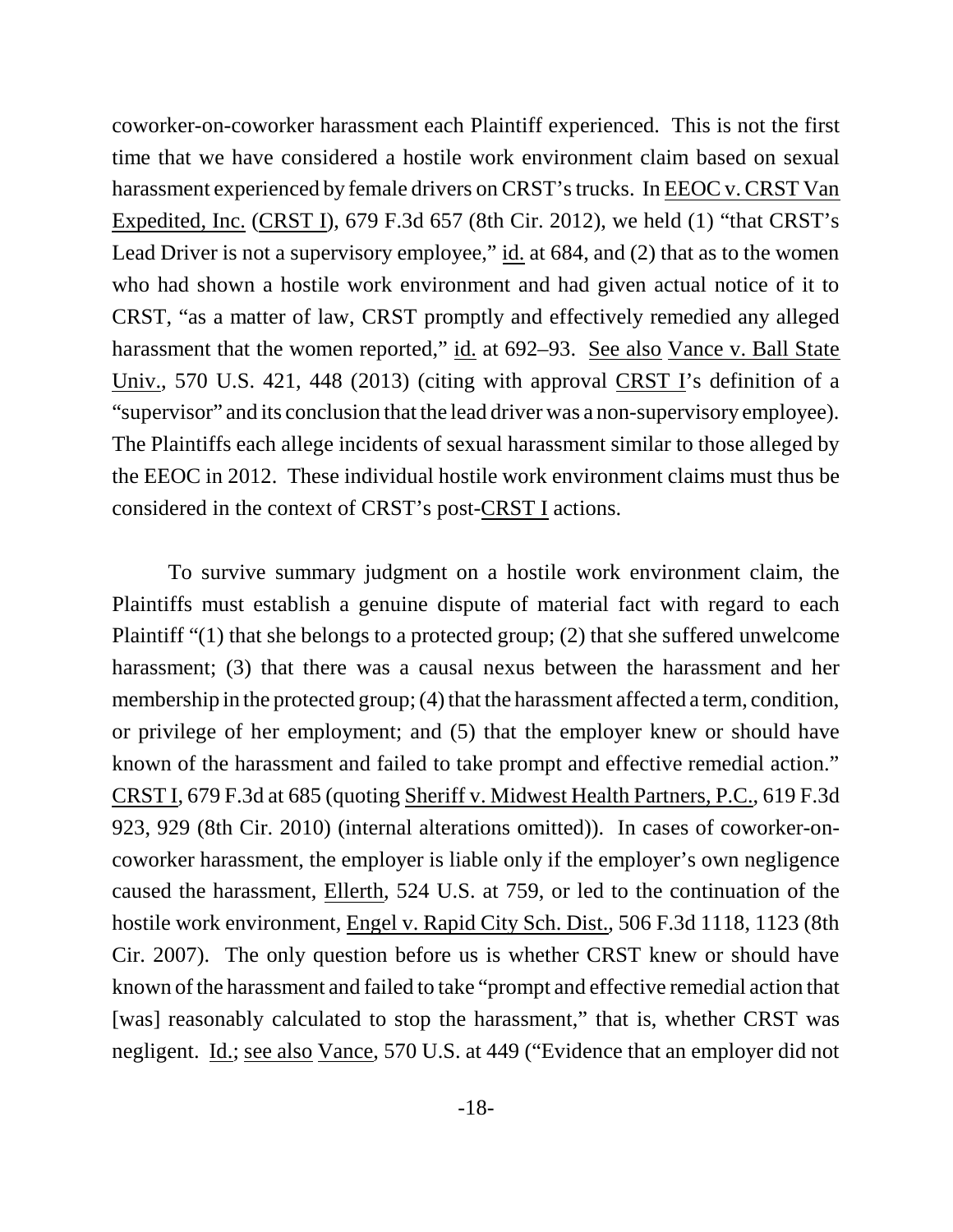coworker-on-coworker harassment each Plaintiff experienced. This is not the first time that we have considered a hostile work environment claim based on sexual harassment experienced by female drivers on CRST's trucks. In EEOC v. CRST Van Expedited, Inc. (CRST I), 679 F.3d 657 (8th Cir. 2012), we held (1) "that CRST's Lead Driver is not a supervisory employee," id. at 684, and (2) that as to the women who had shown a hostile work environment and had given actual notice of it to CRST, "as a matter of law, CRST promptly and effectively remedied any alleged harassment that the women reported," id. at 692–93. See also Vance v. Ball State Univ., 570 U.S. 421, 448 (2013) (citing with approval CRST I's definition of a "supervisor" and its conclusion that the lead driver was a non-supervisory employee). The Plaintiffs each allege incidents of sexual harassment similar to those alleged by the EEOC in 2012. These individual hostile work environment claims must thus be considered in the context of CRST's post-CRST I actions.

To survive summary judgment on a hostile work environment claim, the Plaintiffs must establish a genuine dispute of material fact with regard to each Plaintiff "(1) that she belongs to a protected group; (2) that she suffered unwelcome harassment; (3) that there was a causal nexus between the harassment and her membership in the protected group; (4) that the harassment affected a term, condition, or privilege of her employment; and (5) that the employer knew or should have known of the harassment and failed to take prompt and effective remedial action." CRST I, 679 F.3d at 685 (quoting Sheriff v. Midwest Health Partners, P.C., 619 F.3d 923, 929 (8th Cir. 2010) (internal alterations omitted)). In cases of coworker-oncoworker harassment, the employer is liable only if the employer's own negligence caused the harassment, Ellerth, 524 U.S. at 759, or led to the continuation of the hostile work environment, Engel v. Rapid City Sch. Dist., 506 F.3d 1118, 1123 (8th Cir. 2007). The only question before us is whether CRST knew or should have known of the harassment and failed to take "prompt and effective remedial action that [was] reasonably calculated to stop the harassment," that is, whether CRST was negligent. Id.; see also Vance, 570 U.S. at 449 ("Evidence that an employer did not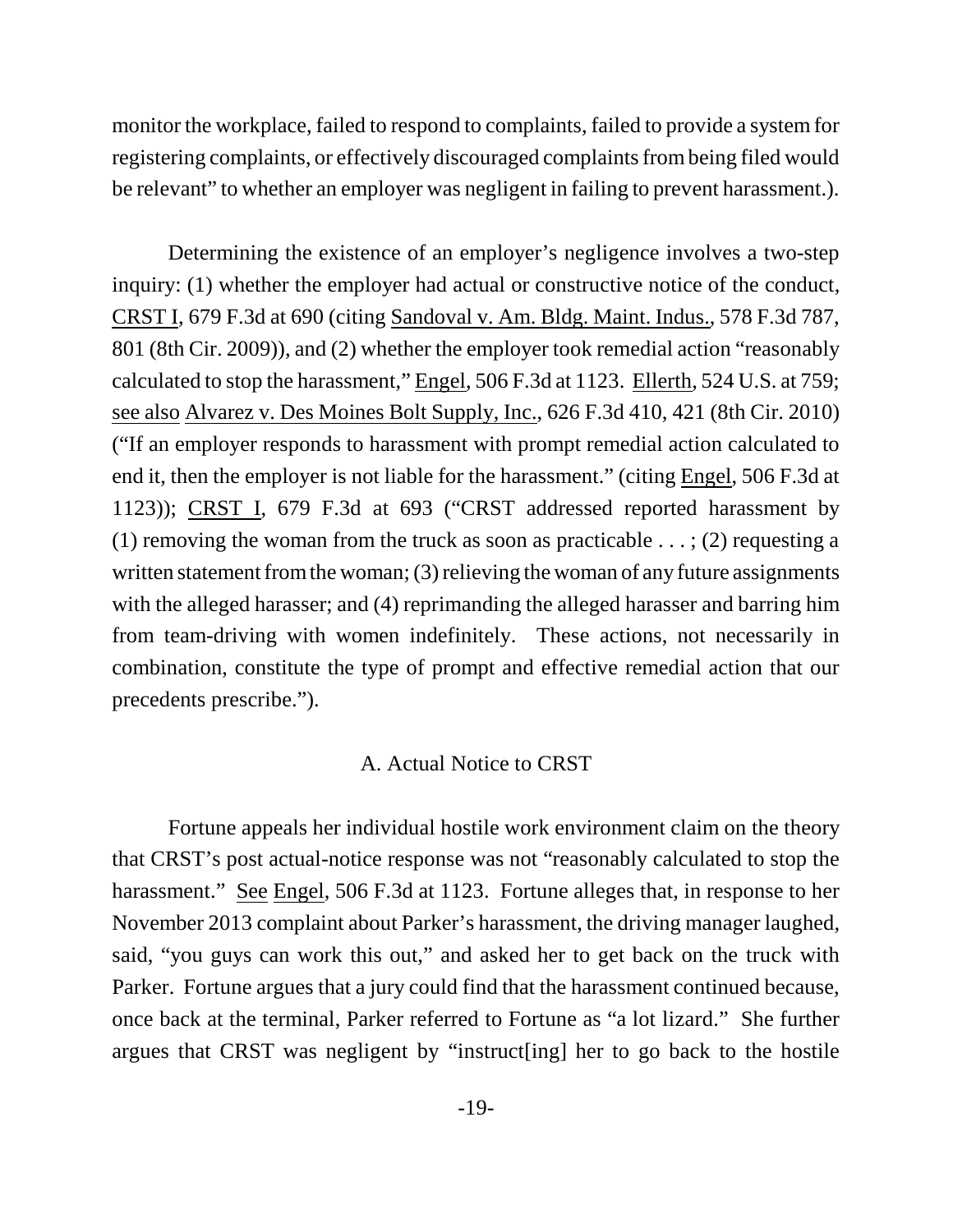monitor the workplace, failed to respond to complaints, failed to provide a system for registering complaints, or effectively discouraged complaints from being filed would be relevant" to whether an employer was negligent in failing to prevent harassment.).

Determining the existence of an employer's negligence involves a two-step inquiry: (1) whether the employer had actual or constructive notice of the conduct, CRST I, 679 F.3d at 690 (citing Sandoval v. Am. Bldg. Maint. Indus., 578 F.3d 787, 801 (8th Cir. 2009)), and (2) whether the employer took remedial action "reasonably calculated to stop the harassment," Engel, 506 F.3d at 1123. Ellerth, 524 U.S. at 759; see also Alvarez v. Des Moines Bolt Supply, Inc., 626 F.3d 410, 421 (8th Cir. 2010) ("If an employer responds to harassment with prompt remedial action calculated to end it, then the employer is not liable for the harassment." (citing Engel, 506 F.3d at 1123)); CRST I, 679 F.3d at 693 ("CRST addressed reported harassment by (1) removing the woman from the truck as soon as practicable ...; (2) requesting a written statement from the woman; (3) relieving the woman of any future assignments with the alleged harasser; and (4) reprimanding the alleged harasser and barring him from team-driving with women indefinitely. These actions, not necessarily in combination, constitute the type of prompt and effective remedial action that our precedents prescribe.").

### A. Actual Notice to CRST

Fortune appeals her individual hostile work environment claim on the theory that CRST's post actual-notice response was not "reasonably calculated to stop the harassment." See Engel, 506 F.3d at 1123. Fortune alleges that, in response to her November 2013 complaint about Parker's harassment, the driving manager laughed, said, "you guys can work this out," and asked her to get back on the truck with Parker. Fortune argues that a jury could find that the harassment continued because, once back at the terminal, Parker referred to Fortune as "a lot lizard." She further argues that CRST was negligent by "instruct[ing] her to go back to the hostile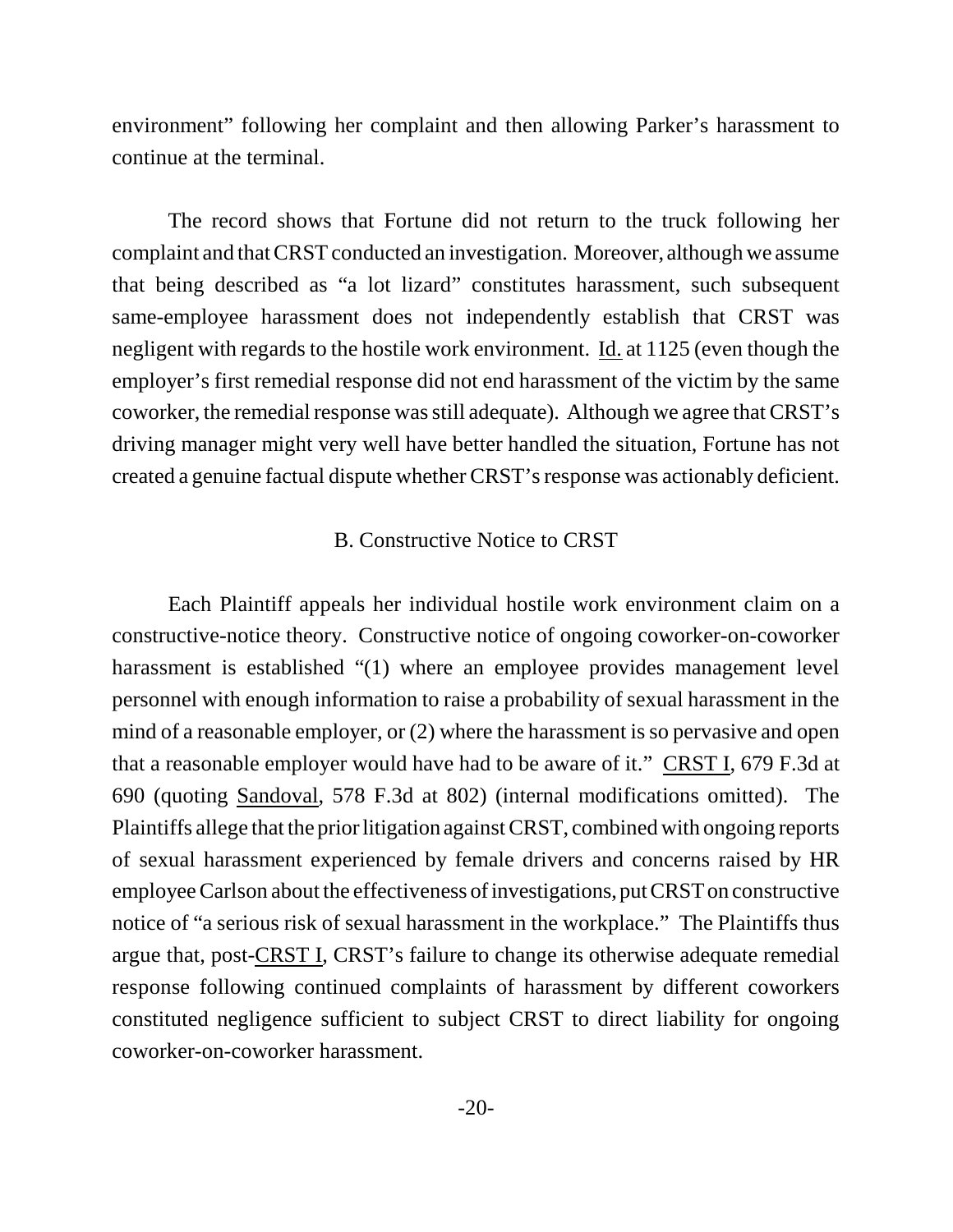environment" following her complaint and then allowing Parker's harassment to continue at the terminal.

The record shows that Fortune did not return to the truck following her complaint and that CRST conducted an investigation. Moreover, although we assume that being described as "a lot lizard" constitutes harassment, such subsequent same-employee harassment does not independently establish that CRST was negligent with regards to the hostile work environment. Id. at 1125 (even though the employer's first remedial response did not end harassment of the victim by the same coworker, the remedial response was still adequate). Although we agree that CRST's driving manager might very well have better handled the situation, Fortune has not created a genuine factual dispute whether CRST's response was actionably deficient.

#### B. Constructive Notice to CRST

Each Plaintiff appeals her individual hostile work environment claim on a constructive-notice theory. Constructive notice of ongoing coworker-on-coworker harassment is established "(1) where an employee provides management level personnel with enough information to raise a probability of sexual harassment in the mind of a reasonable employer, or (2) where the harassment is so pervasive and open that a reasonable employer would have had to be aware of it." CRST I, 679 F.3d at 690 (quoting Sandoval, 578 F.3d at 802) (internal modifications omitted). The Plaintiffs allege that the prior litigation against CRST, combined with ongoing reports of sexual harassment experienced by female drivers and concerns raised by HR employee Carlson about the effectiveness of investigations, put CRST on constructive notice of "a serious risk of sexual harassment in the workplace." The Plaintiffs thus argue that, post-CRST I, CRST's failure to change its otherwise adequate remedial response following continued complaints of harassment by different coworkers constituted negligence sufficient to subject CRST to direct liability for ongoing coworker-on-coworker harassment.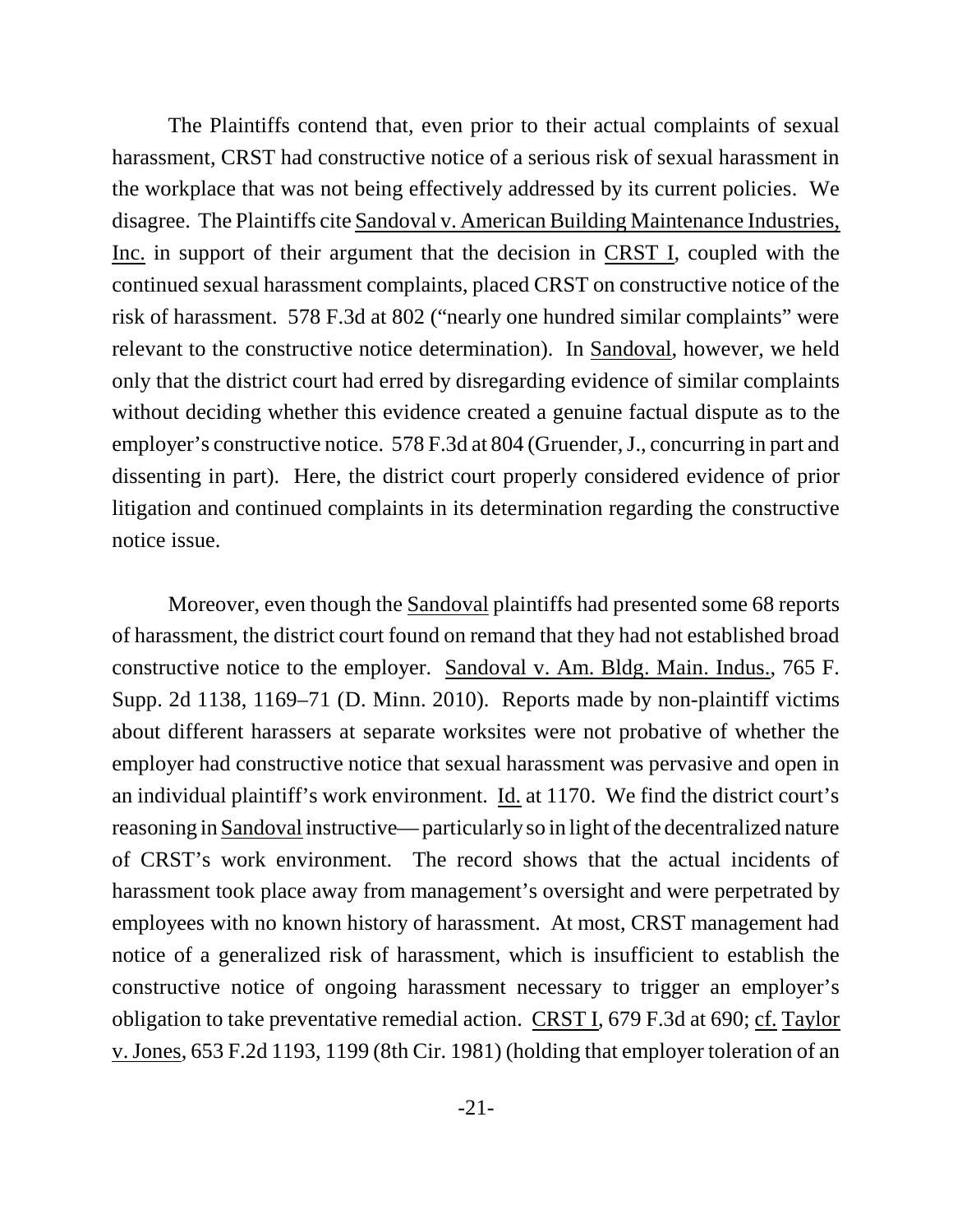The Plaintiffs contend that, even prior to their actual complaints of sexual harassment, CRST had constructive notice of a serious risk of sexual harassment in the workplace that was not being effectively addressed by its current policies. We disagree. The Plaintiffs cite Sandoval v. American Building Maintenance Industries, Inc. in support of their argument that the decision in CRST I, coupled with the continued sexual harassment complaints, placed CRST on constructive notice of the risk of harassment. 578 F.3d at 802 ("nearly one hundred similar complaints" were relevant to the constructive notice determination). In Sandoval, however, we held only that the district court had erred by disregarding evidence of similar complaints without deciding whether this evidence created a genuine factual dispute as to the employer's constructive notice. 578 F.3d at 804 (Gruender, J., concurring in part and dissenting in part). Here, the district court properly considered evidence of prior litigation and continued complaints in its determination regarding the constructive notice issue.

Moreover, even though the Sandoval plaintiffs had presented some 68 reports of harassment, the district court found on remand that they had not established broad constructive notice to the employer. Sandoval v. Am. Bldg. Main. Indus., 765 F. Supp. 2d 1138, 1169–71 (D. Minn. 2010). Reports made by non-plaintiff victims about different harassers at separate worksites were not probative of whether the employer had constructive notice that sexual harassment was pervasive and open in an individual plaintiff's work environment. Id. at 1170. We find the district court's reasoning in Sandoval instructive— particularly so in light of the decentralized nature of CRST's work environment. The record shows that the actual incidents of harassment took place away from management's oversight and were perpetrated by employees with no known history of harassment. At most, CRST management had notice of a generalized risk of harassment, which is insufficient to establish the constructive notice of ongoing harassment necessary to trigger an employer's obligation to take preventative remedial action. CRST I, 679 F.3d at 690; cf. Taylor v. Jones, 653 F.2d 1193, 1199 (8th Cir. 1981) (holding that employer toleration of an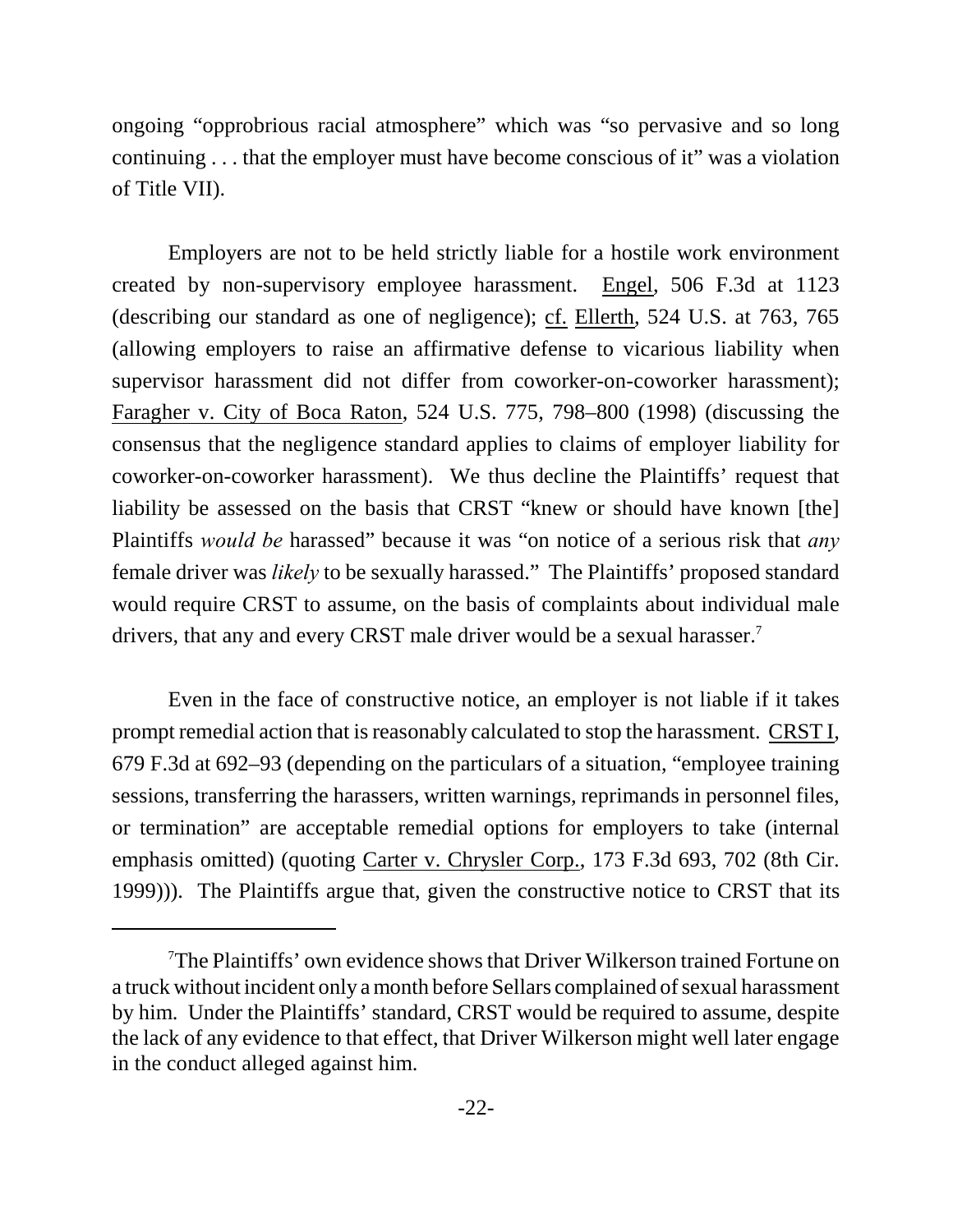ongoing "opprobrious racial atmosphere" which was "so pervasive and so long continuing . . . that the employer must have become conscious of it" was a violation of Title VII).

Employers are not to be held strictly liable for a hostile work environment created by non-supervisory employee harassment. Engel, 506 F.3d at 1123 (describing our standard as one of negligence); cf. Ellerth, 524 U.S. at 763, 765 (allowing employers to raise an affirmative defense to vicarious liability when supervisor harassment did not differ from coworker-on-coworker harassment); Faragher v. City of Boca Raton, 524 U.S. 775, 798–800 (1998) (discussing the consensus that the negligence standard applies to claims of employer liability for coworker-on-coworker harassment). We thus decline the Plaintiffs' request that liability be assessed on the basis that CRST "knew or should have known [the] Plaintiffs *would be* harassed" because it was "on notice of a serious risk that *any* female driver was *likely* to be sexually harassed." The Plaintiffs' proposed standard would require CRST to assume, on the basis of complaints about individual male drivers, that any and every CRST male driver would be a sexual harasser.<sup>7</sup>

Even in the face of constructive notice, an employer is not liable if it takes prompt remedial action that is reasonably calculated to stop the harassment. CRST I, 679 F.3d at 692–93 (depending on the particulars of a situation, "employee training sessions, transferring the harassers, written warnings, reprimands in personnel files, or termination" are acceptable remedial options for employers to take (internal emphasis omitted) (quoting Carter v. Chrysler Corp., 173 F.3d 693, 702 (8th Cir. 1999))). The Plaintiffs argue that, given the constructive notice to CRST that its

<sup>7</sup>The Plaintiffs' own evidence shows that Driver Wilkerson trained Fortune on a truck without incident only a month before Sellars complained of sexual harassment by him. Under the Plaintiffs' standard, CRST would be required to assume, despite the lack of any evidence to that effect, that Driver Wilkerson might well later engage in the conduct alleged against him.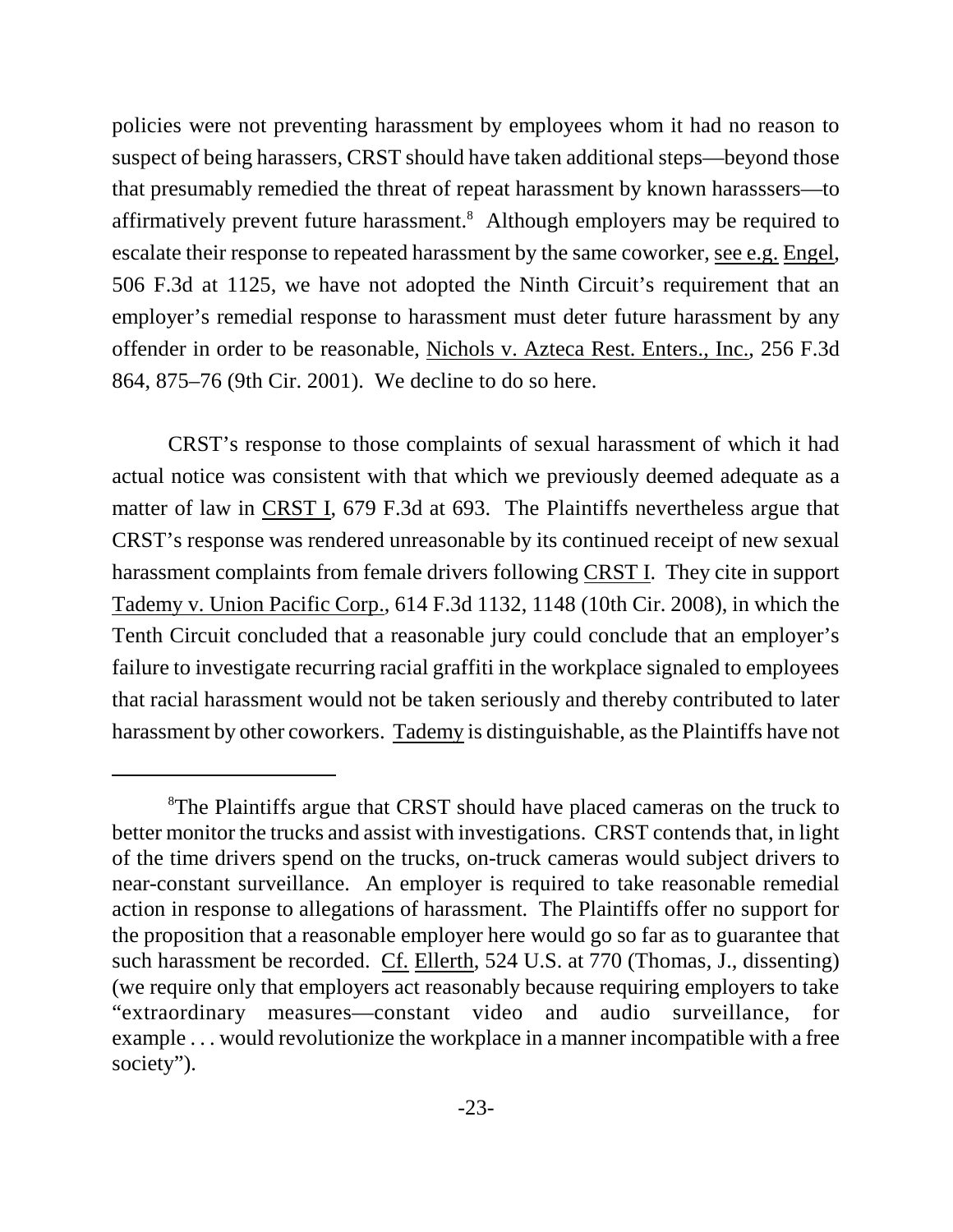policies were not preventing harassment by employees whom it had no reason to suspect of being harassers, CRST should have taken additional steps—beyond those that presumably remedied the threat of repeat harassment by known harasssers—to affirmatively prevent future harassment.<sup>8</sup> Although employers may be required to escalate their response to repeated harassment by the same coworker, see e.g. Engel, 506 F.3d at 1125, we have not adopted the Ninth Circuit's requirement that an employer's remedial response to harassment must deter future harassment by any offender in order to be reasonable, Nichols v. Azteca Rest. Enters., Inc., 256 F.3d 864, 875–76 (9th Cir. 2001). We decline to do so here.

CRST's response to those complaints of sexual harassment of which it had actual notice was consistent with that which we previously deemed adequate as a matter of law in CRST I, 679 F.3d at 693. The Plaintiffs nevertheless argue that CRST's response was rendered unreasonable by its continued receipt of new sexual harassment complaints from female drivers following CRST I. They cite in support Tademy v. Union Pacific Corp., 614 F.3d 1132, 1148 (10th Cir. 2008), in which the Tenth Circuit concluded that a reasonable jury could conclude that an employer's failure to investigate recurring racial graffiti in the workplace signaled to employees that racial harassment would not be taken seriously and thereby contributed to later harassment by other coworkers. Tademy is distinguishable, as the Plaintiffs have not

<sup>&</sup>lt;sup>8</sup>The Plaintiffs argue that CRST should have placed cameras on the truck to better monitor the trucks and assist with investigations. CRST contends that, in light of the time drivers spend on the trucks, on-truck cameras would subject drivers to near-constant surveillance. An employer is required to take reasonable remedial action in response to allegations of harassment. The Plaintiffs offer no support for the proposition that a reasonable employer here would go so far as to guarantee that such harassment be recorded. Cf. Ellerth, 524 U.S. at 770 (Thomas, J., dissenting) (we require only that employers act reasonably because requiring employers to take "extraordinary measures—constant video and audio surveillance, for example . . . would revolutionize the workplace in a manner incompatible with a free society").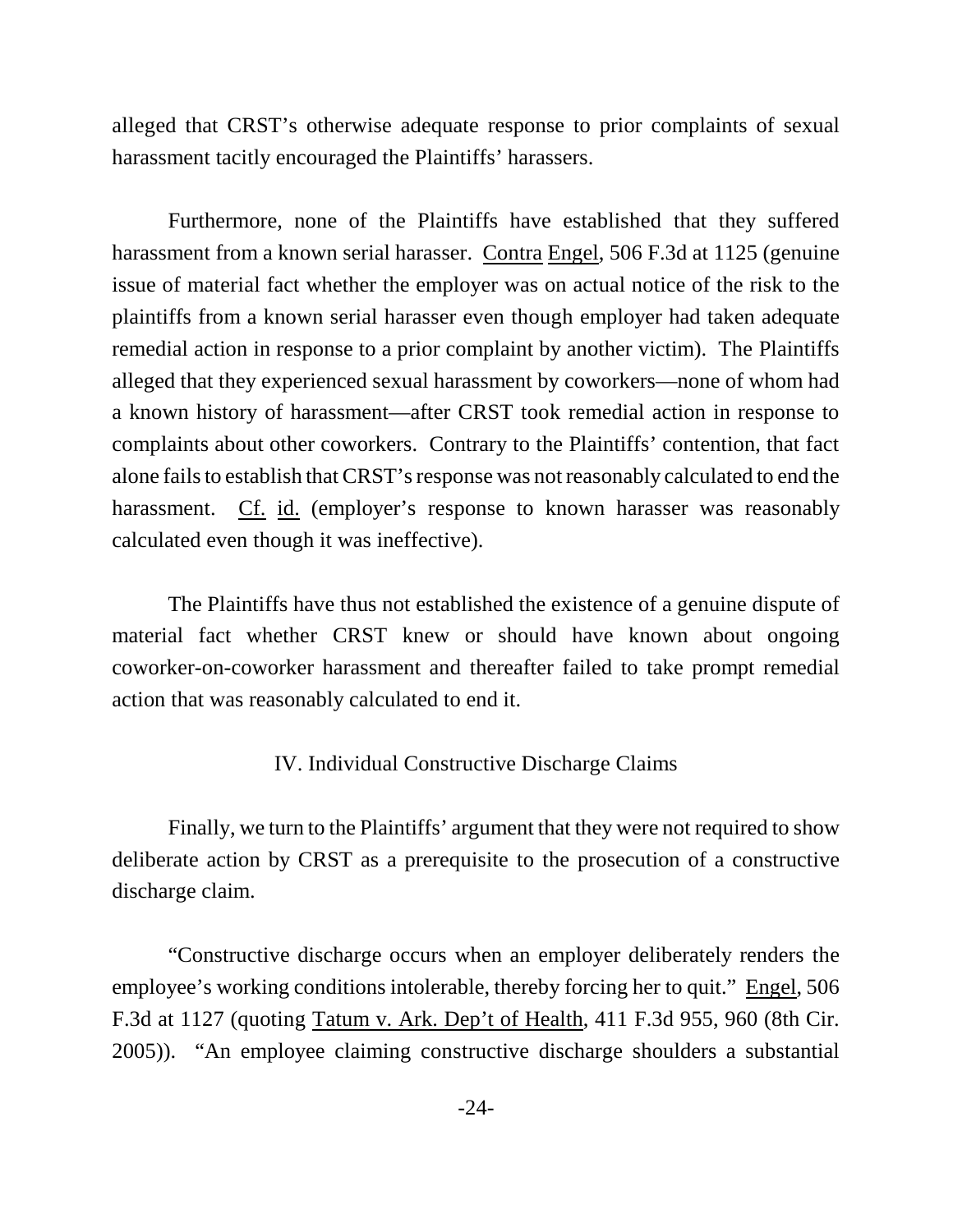alleged that CRST's otherwise adequate response to prior complaints of sexual harassment tacitly encouraged the Plaintiffs' harassers.

Furthermore, none of the Plaintiffs have established that they suffered harassment from a known serial harasser. Contra Engel, 506 F.3d at 1125 (genuine issue of material fact whether the employer was on actual notice of the risk to the plaintiffs from a known serial harasser even though employer had taken adequate remedial action in response to a prior complaint by another victim). The Plaintiffs alleged that they experienced sexual harassment by coworkers—none of whom had a known history of harassment—after CRST took remedial action in response to complaints about other coworkers. Contrary to the Plaintiffs' contention, that fact alone fails to establish that CRST's response was not reasonably calculated to end the harassment. Cf. id. (employer's response to known harasser was reasonably calculated even though it was ineffective).

The Plaintiffs have thus not established the existence of a genuine dispute of material fact whether CRST knew or should have known about ongoing coworker-on-coworker harassment and thereafter failed to take prompt remedial action that was reasonably calculated to end it.

#### IV. Individual Constructive Discharge Claims

Finally, we turn to the Plaintiffs' argument that they were not required to show deliberate action by CRST as a prerequisite to the prosecution of a constructive discharge claim.

"Constructive discharge occurs when an employer deliberately renders the employee's working conditions intolerable, thereby forcing her to quit." Engel, 506 F.3d at 1127 (quoting Tatum v. Ark. Dep't of Health, 411 F.3d 955, 960 (8th Cir. 2005)). "An employee claiming constructive discharge shoulders a substantial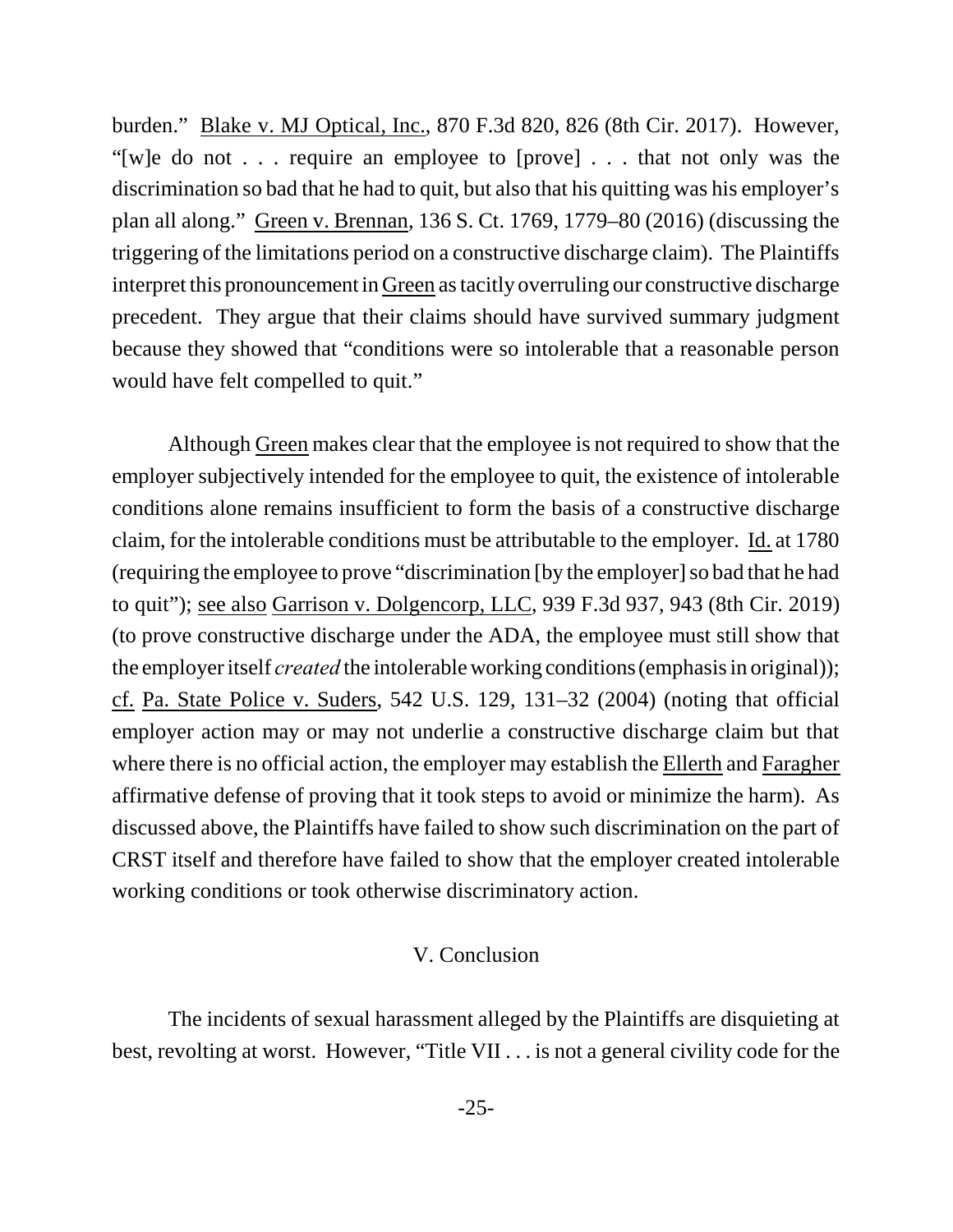burden." Blake v. MJ Optical, Inc., 870 F.3d 820, 826 (8th Cir. 2017). However, "[w]e do not . . . require an employee to [prove] . . . that not only was the discrimination so bad that he had to quit, but also that his quitting was his employer's plan all along." Green v. Brennan, 136 S. Ct. 1769, 1779–80 (2016) (discussing the triggering of the limitations period on a constructive discharge claim). The Plaintiffs interpret this pronouncement in Green as tacitly overruling our constructive discharge precedent. They argue that their claims should have survived summary judgment because they showed that "conditions were so intolerable that a reasonable person would have felt compelled to quit."

Although Green makes clear that the employee is not required to show that the employer subjectively intended for the employee to quit, the existence of intolerable conditions alone remains insufficient to form the basis of a constructive discharge claim, for the intolerable conditions must be attributable to the employer. Id. at 1780 (requiring the employee to prove "discrimination [by the employer] so bad that he had to quit"); see also Garrison v. Dolgencorp, LLC, 939 F.3d 937, 943 (8th Cir. 2019) (to prove constructive discharge under the ADA, the employee must still show that the employer itself *created* the intolerable working conditions (emphasis in original)); cf. Pa. State Police v. Suders, 542 U.S. 129, 131–32 (2004) (noting that official employer action may or may not underlie a constructive discharge claim but that where there is no official action, the employer may establish the Ellerth and Faragher affirmative defense of proving that it took steps to avoid or minimize the harm). As discussed above, the Plaintiffs have failed to show such discrimination on the part of CRST itself and therefore have failed to show that the employer created intolerable working conditions or took otherwise discriminatory action.

### V. Conclusion

The incidents of sexual harassment alleged by the Plaintiffs are disquieting at best, revolting at worst. However, "Title VII . . . is not a general civility code for the